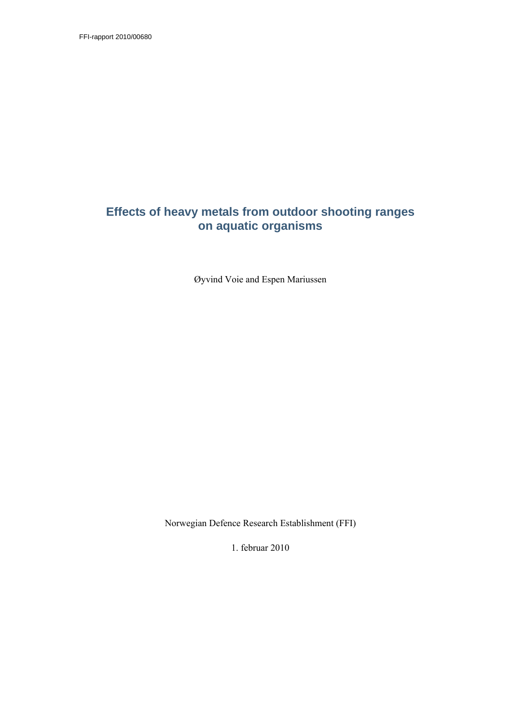FFI-rapport 2010/00680

## **Effects of heavy metals from outdoor shooting ranges on aquatic organisms**

Øyvind Voie and Espen Mariussen

Norwegian Defence Research Establishment (FFI)

1. februar 2010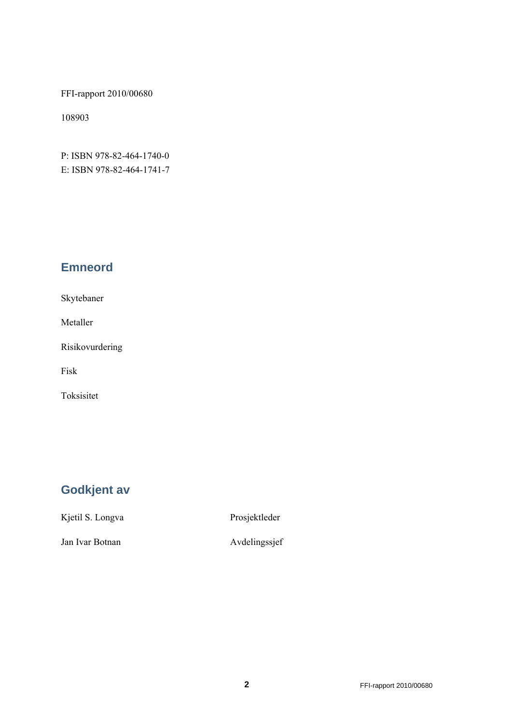FFI-rapport 2010/00680

108903

P: ISBN 978-82-464-1740-0 E: ISBN 978-82-464-1741-7

## **Emneord**

Skytebaner

Metaller

Risikovurdering

Fisk

Toksisitet

# **Godkjent av**

Kjetil S. Longva Prosjektleder

Jan Ivar Botnan Avdelingssjef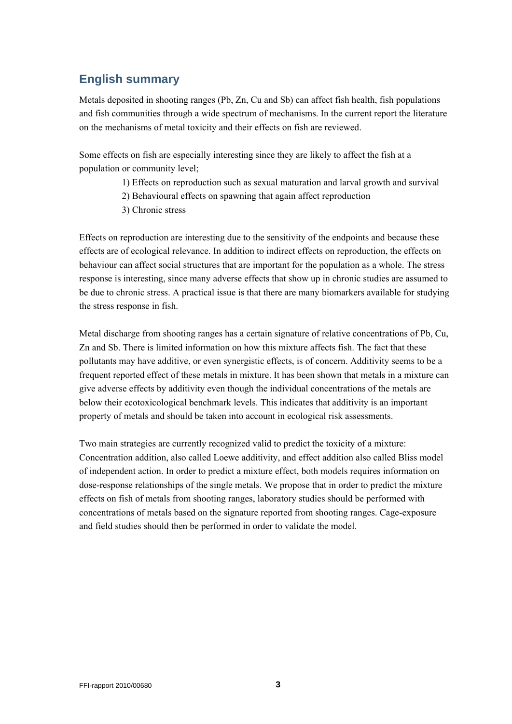## **English summary**

Metals deposited in shooting ranges (Pb, Zn, Cu and Sb) can affect fish health, fish populations and fish communities through a wide spectrum of mechanisms. In the current report the literature on the mechanisms of metal toxicity and their effects on fish are reviewed.

Some effects on fish are especially interesting since they are likely to affect the fish at a population or community level;

- 1) Effects on reproduction such as sexual maturation and larval growth and survival
- 2) Behavioural effects on spawning that again affect reproduction
- 3) Chronic stress

Effects on reproduction are interesting due to the sensitivity of the endpoints and because these effects are of ecological relevance. In addition to indirect effects on reproduction, the effects on behaviour can affect social structures that are important for the population as a whole. The stress response is interesting, since many adverse effects that show up in chronic studies are assumed to be due to chronic stress. A practical issue is that there are many biomarkers available for studying the stress response in fish.

Metal discharge from shooting ranges has a certain signature of relative concentrations of Pb, Cu, Zn and Sb. There is limited information on how this mixture affects fish. The fact that these pollutants may have additive, or even synergistic effects, is of concern. Additivity seems to be a frequent reported effect of these metals in mixture. It has been shown that metals in a mixture can give adverse effects by additivity even though the individual concentrations of the metals are below their ecotoxicological benchmark levels. This indicates that additivity is an important property of metals and should be taken into account in ecological risk assessments.

Two main strategies are currently recognized valid to predict the toxicity of a mixture: Concentration addition, also called Loewe additivity, and effect addition also called Bliss model of independent action. In order to predict a mixture effect, both models requires information on dose-response relationships of the single metals. We propose that in order to predict the mixture effects on fish of metals from shooting ranges, laboratory studies should be performed with concentrations of metals based on the signature reported from shooting ranges. Cage-exposure and field studies should then be performed in order to validate the model.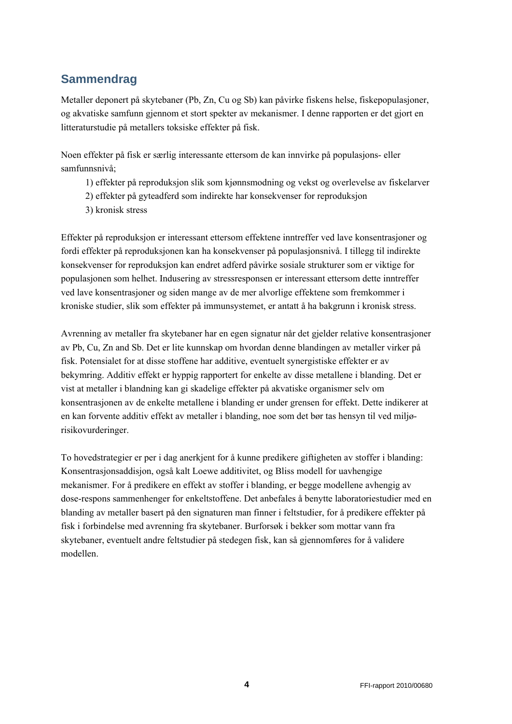# **Sammendrag**

Metaller deponert på skytebaner (Pb, Zn, Cu og Sb) kan påvirke fiskens helse, fiskepopulasjoner, og akvatiske samfunn gjennom et stort spekter av mekanismer. I denne rapporten er det gjort en litteraturstudie på metallers toksiske effekter på fisk.

Noen effekter på fisk er særlig interessante ettersom de kan innvirke på populasjons- eller samfunnsnivå;

- 1) effekter på reproduksjon slik som kjønnsmodning og vekst og overlevelse av fiskelarver
- 2) effekter på gyteadferd som indirekte har konsekvenser for reproduksjon
- 3) kronisk stress

Effekter på reproduksjon er interessant ettersom effektene inntreffer ved lave konsentrasjoner og fordi effekter på reproduksjonen kan ha konsekvenser på populasjonsnivå. I tillegg til indirekte konsekvenser for reproduksjon kan endret adferd påvirke sosiale strukturer som er viktige for populasjonen som helhet. Indusering av stressresponsen er interessant ettersom dette inntreffer ved lave konsentrasjoner og siden mange av de mer alvorlige effektene som fremkommer i kroniske studier, slik som effekter på immunsystemet, er antatt å ha bakgrunn i kronisk stress.

Avrenning av metaller fra skytebaner har en egen signatur når det gjelder relative konsentrasjoner av Pb, Cu, Zn and Sb. Det er lite kunnskap om hvordan denne blandingen av metaller virker på fisk. Potensialet for at disse stoffene har additive, eventuelt synergistiske effekter er av bekymring. Additiv effekt er hyppig rapportert for enkelte av disse metallene i blanding. Det er vist at metaller i blandning kan gi skadelige effekter på akvatiske organismer selv om konsentrasjonen av de enkelte metallene i blanding er under grensen for effekt. Dette indikerer at en kan forvente additiv effekt av metaller i blanding, noe som det bør tas hensyn til ved miljørisikovurderinger.

To hovedstrategier er per i dag anerkjent for å kunne predikere giftigheten av stoffer i blanding: Konsentrasjonsaddisjon, også kalt Loewe additivitet, og Bliss modell for uavhengige mekanismer. For å predikere en effekt av stoffer i blanding, er begge modellene avhengig av dose-respons sammenhenger for enkeltstoffene. Det anbefales å benytte laboratoriestudier med en blanding av metaller basert på den signaturen man finner i feltstudier, for å predikere effekter på fisk i forbindelse med avrenning fra skytebaner. Burforsøk i bekker som mottar vann fra skytebaner, eventuelt andre feltstudier på stedegen fisk, kan så gjennomføres for å validere modellen.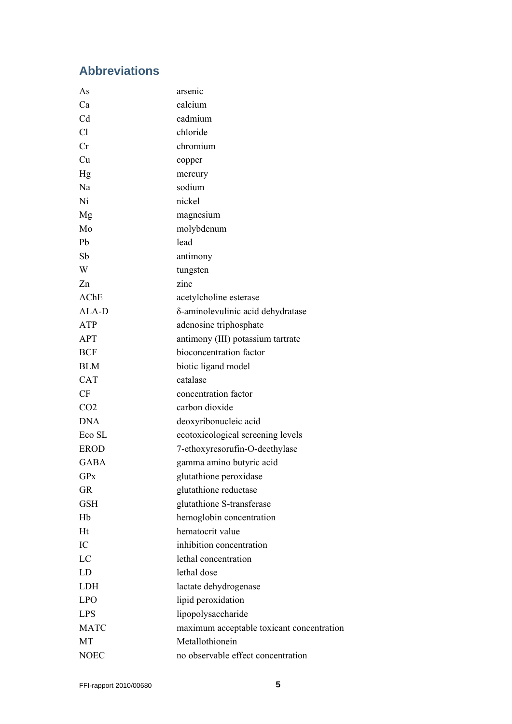## **Abbreviations**

| As                | arsenic                                   |  |  |
|-------------------|-------------------------------------------|--|--|
| Ca                | calcium                                   |  |  |
| C <sub>d</sub>    | cadmium                                   |  |  |
| C <sub>1</sub>    | chloride                                  |  |  |
| Cr                | chromium                                  |  |  |
| Cu                | copper                                    |  |  |
| Hg                | mercury                                   |  |  |
| Na                | sodium                                    |  |  |
| Ni                | nickel                                    |  |  |
| Mg                | magnesium                                 |  |  |
| Mo                | molybdenum                                |  |  |
| Pb                | lead                                      |  |  |
| Sb                | antimony                                  |  |  |
| W                 | tungsten                                  |  |  |
| Zn                | zinc                                      |  |  |
| AChE              | acetylcholine esterase                    |  |  |
| ALA-D             | δ-aminolevulinic acid dehydratase         |  |  |
| ATP               | adenosine triphosphate                    |  |  |
| APT               | antimony (III) potassium tartrate         |  |  |
| <b>BCF</b>        | bioconcentration factor                   |  |  |
| <b>BLM</b>        | biotic ligand model                       |  |  |
| <b>CAT</b>        | catalase                                  |  |  |
| CF                | concentration factor                      |  |  |
| CO <sub>2</sub>   | carbon dioxide                            |  |  |
| <b>DNA</b>        | deoxyribonucleic acid                     |  |  |
| Eco <sub>SL</sub> | ecotoxicological screening levels         |  |  |
| <b>EROD</b>       | 7-ethoxyresorufin-O-deethylase            |  |  |
| <b>GABA</b>       | gamma amino butyric acid                  |  |  |
| <b>GPx</b>        | glutathione peroxidase                    |  |  |
| <b>GR</b>         | glutathione reductase                     |  |  |
| <b>GSH</b>        | glutathione S-transferase                 |  |  |
| Hb                | hemoglobin concentration                  |  |  |
| Ht                | hematocrit value                          |  |  |
| IC                | inhibition concentration                  |  |  |
| LC                | lethal concentration                      |  |  |
| LD                | lethal dose                               |  |  |
| <b>LDH</b>        | lactate dehydrogenase                     |  |  |
| <b>LPO</b>        | lipid peroxidation                        |  |  |
| <b>LPS</b>        | lipopolysaccharide                        |  |  |
| <b>MATC</b>       | maximum acceptable toxicant concentration |  |  |
| MT                | Metallothionein                           |  |  |
| <b>NOEC</b>       | no observable effect concentration        |  |  |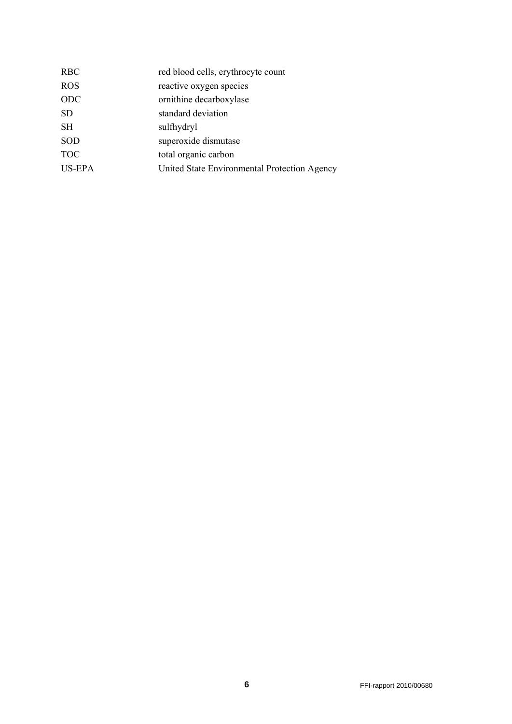| red blood cells, erythrocyte count           |
|----------------------------------------------|
| reactive oxygen species                      |
| ornithine decarboxylase                      |
| standard deviation                           |
| sulfhydryl                                   |
| superoxide dismutase                         |
| total organic carbon                         |
| United State Environmental Protection Agency |
|                                              |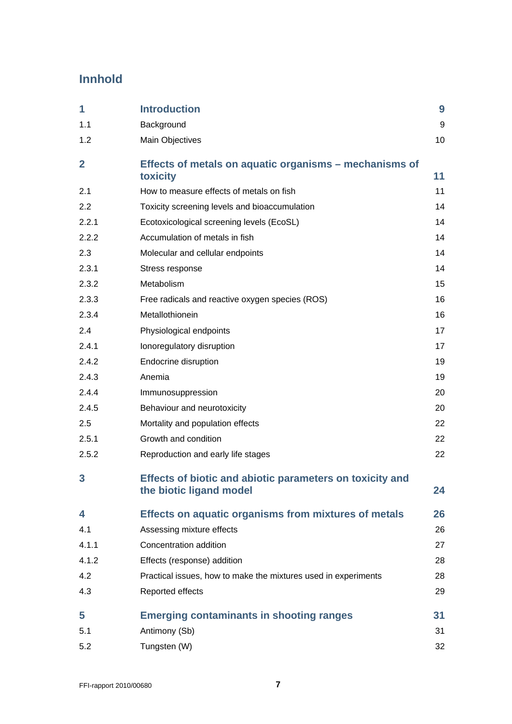# **Innhold**

| 1            | <b>Introduction</b>                                                                 | 9  |
|--------------|-------------------------------------------------------------------------------------|----|
| 1.1          | Background                                                                          | 9  |
| 1.2          | Main Objectives                                                                     | 10 |
| $\mathbf{2}$ | Effects of metals on aquatic organisms – mechanisms of<br>toxicity                  | 11 |
| 2.1          | How to measure effects of metals on fish                                            | 11 |
| 2.2          | Toxicity screening levels and bioaccumulation                                       | 14 |
| 2.2.1        | Ecotoxicological screening levels (EcoSL)                                           | 14 |
| 2.2.2        | Accumulation of metals in fish                                                      | 14 |
| 2.3          | Molecular and cellular endpoints                                                    | 14 |
| 2.3.1        | Stress response                                                                     | 14 |
| 2.3.2        | Metabolism                                                                          | 15 |
| 2.3.3        | Free radicals and reactive oxygen species (ROS)                                     | 16 |
| 2.3.4        | Metallothionein                                                                     | 16 |
| 2.4          | Physiological endpoints                                                             | 17 |
| 2.4.1        | Ionoregulatory disruption                                                           | 17 |
| 2.4.2        | Endocrine disruption                                                                | 19 |
| 2.4.3        | Anemia                                                                              | 19 |
| 2.4.4        | Immunosuppression                                                                   | 20 |
| 2.4.5        | Behaviour and neurotoxicity                                                         | 20 |
| 2.5          | Mortality and population effects                                                    | 22 |
| 2.5.1        | Growth and condition                                                                | 22 |
| 2.5.2        | Reproduction and early life stages                                                  | 22 |
| 3            | Effects of biotic and abiotic parameters on toxicity and<br>the biotic ligand model | 24 |
| 4            | <b>Effects on aquatic organisms from mixtures of metals</b>                         | 26 |
| 4.1          | Assessing mixture effects                                                           | 26 |
| 4.1.1        | Concentration addition                                                              | 27 |
| 4.1.2        | Effects (response) addition                                                         | 28 |
| 4.2          | Practical issues, how to make the mixtures used in experiments                      | 28 |
| 4.3          | Reported effects                                                                    | 29 |
| 5            | <b>Emerging contaminants in shooting ranges</b>                                     | 31 |
| 5.1          | Antimony (Sb)                                                                       | 31 |
| 5.2          | Tungsten (W)                                                                        | 32 |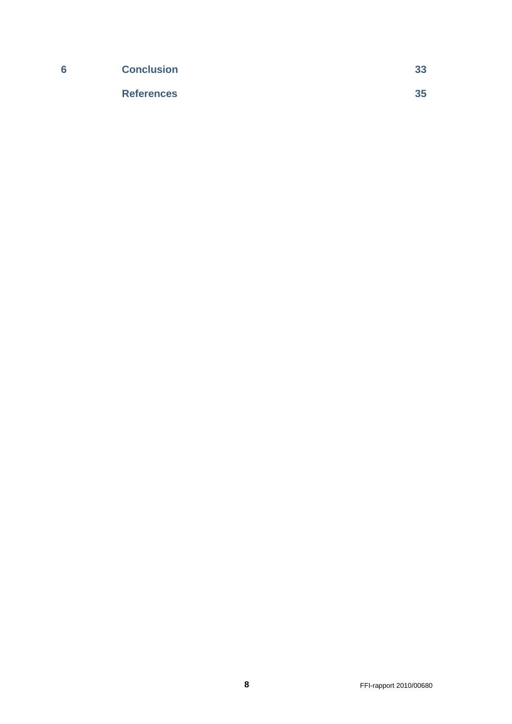| 6 | <b>Conclusion</b> | 33 |
|---|-------------------|----|
|   | <b>References</b> | 35 |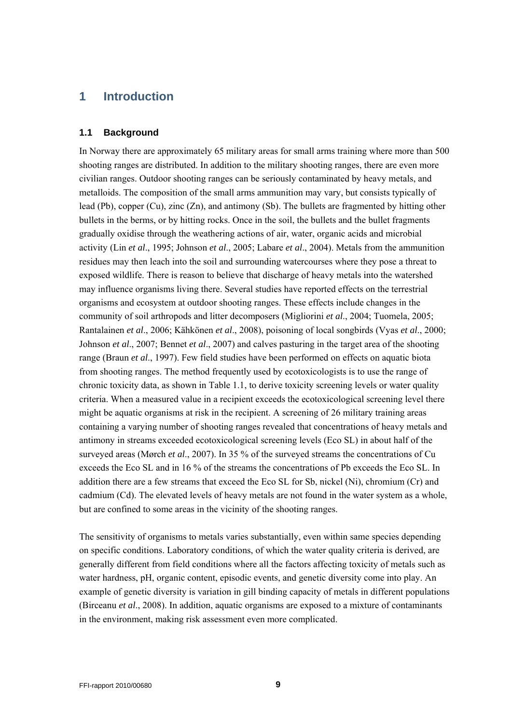### <span id="page-8-0"></span>**1 Introduction**

#### <span id="page-8-1"></span>**1.1 Background**

In Norway there are approximately 65 military areas for small arms training where more than 500 shooting ranges are distributed. In addition to the military shooting ranges, there are even more civilian ranges. Outdoor shooting ranges can be seriously contaminated by heavy metals, and metalloids. The composition of the small arms ammunition may vary, but consists typically of lead (Pb), copper (Cu), zinc (Zn), and antimony (Sb). The bullets are fragmented by hitting other bullets in the berms, or by hitting rocks. Once in the soil, the bullets and the bullet fragments gradually oxidise through the weathering actions of air, water, organic acids and microbial activity (Lin *et al*., 1995; Johnson *et al*., 2005; Labare *et al*., 2004). Metals from the ammunition residues may then leach into the soil and surrounding watercourses where they pose a threat to exposed wildlife. There is reason to believe that discharge of heavy metals into the watershed may influence organisms living there. Several studies have reported effects on the terrestrial organisms and ecosystem at outdoor shooting ranges. These effects include changes in the community of soil arthropods and litter decomposers (Migliorini *et al*., 2004; Tuomela, 2005; Rantalainen *et al*., 2006; Kähkönen *et al*., 2008), poisoning of local songbirds (Vyas *et al*., 2000; Johnson *et al*., 2007; Bennet *et al*., 2007) and calves pasturing in the target area of the shooting range (Braun *et al*., 1997). Few field studies have been performed on effects on aquatic biota from shooting ranges. The method frequently used by ecotoxicologists is to use the range of chronic toxicity data, as shown in Table 1.1, to derive toxicity screening levels or water quality criteria. When a measured value in a recipient exceeds the ecotoxicological screening level there might be aquatic organisms at risk in the recipient. A screening of 26 military training areas containing a varying number of shooting ranges revealed that concentrations of heavy metals and antimony in streams exceeded ecotoxicological screening levels (Eco SL) in about half of the surveyed areas (Mørch *et al*., 2007). In 35 % of the surveyed streams the concentrations of Cu exceeds the Eco SL and in 16 % of the streams the concentrations of Pb exceeds the Eco SL. In addition there are a few streams that exceed the Eco SL for Sb, nickel (Ni), chromium (Cr) and cadmium (Cd). The elevated levels of heavy metals are not found in the water system as a whole, but are confined to some areas in the vicinity of the shooting ranges.

The sensitivity of organisms to metals varies substantially, even within same species depending on specific conditions. Laboratory conditions, of which the water quality criteria is derived, are generally different from field conditions where all the factors affecting toxicity of metals such as water hardness, pH, organic content, episodic events, and genetic diversity come into play. An example of genetic diversity is variation in gill binding capacity of metals in different populations (Birceanu *et al*., 2008). In addition, aquatic organisms are exposed to a mixture of contaminants in the environment, making risk assessment even more complicated.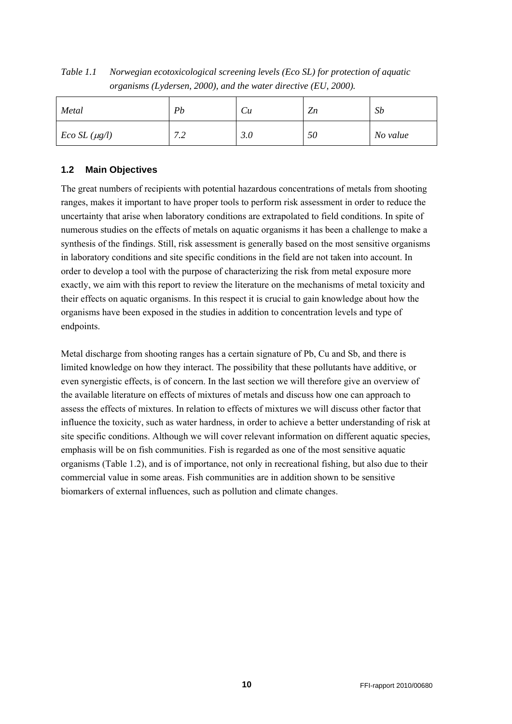*Table 1.1 Norwegian ecotoxicological screening levels (Eco SL) for protection of aquatic organisms (Lydersen, 2000), and the water directive (EU, 2000).* 

| Metal             | Pb                                                  | $\mathcal{C}u$ | Z <sub>n</sub> | Sb       |
|-------------------|-----------------------------------------------------|----------------|----------------|----------|
| $Eco SL(\mu g/l)$ | $\sim$ $\sim$<br>$\cdot$ . $\overline{\phantom{a}}$ | 3.0            | 50             | No value |

### <span id="page-9-0"></span>**1.2 Main Objectives**

The great numbers of recipients with potential hazardous concentrations of metals from shooting ranges, makes it important to have proper tools to perform risk assessment in order to reduce the uncertainty that arise when laboratory conditions are extrapolated to field conditions. In spite of numerous studies on the effects of metals on aquatic organisms it has been a challenge to make a synthesis of the findings. Still, risk assessment is generally based on the most sensitive organisms in laboratory conditions and site specific conditions in the field are not taken into account. In order to develop a tool with the purpose of characterizing the risk from metal exposure more exactly, we aim with this report to review the literature on the mechanisms of metal toxicity and their effects on aquatic organisms. In this respect it is crucial to gain knowledge about how the organisms have been exposed in the studies in addition to concentration levels and type of endpoints.

Metal discharge from shooting ranges has a certain signature of Pb, Cu and Sb, and there is limited knowledge on how they interact. The possibility that these pollutants have additive, or even synergistic effects, is of concern. In the last section we will therefore give an overview of the available literature on effects of mixtures of metals and discuss how one can approach to assess the effects of mixtures. In relation to effects of mixtures we will discuss other factor that influence the toxicity, such as water hardness, in order to achieve a better understanding of risk at site specific conditions. Although we will cover relevant information on different aquatic species, emphasis will be on fish communities. Fish is regarded as one of the most sensitive aquatic organisms (Table 1.2), and is of importance, not only in recreational fishing, but also due to their commercial value in some areas. Fish communities are in addition shown to be sensitive biomarkers of external influences, such as pollution and climate changes.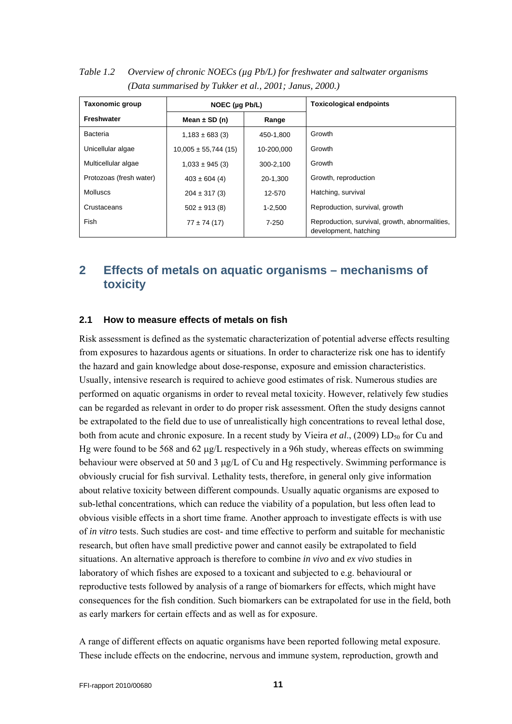| <b>Taxonomic group</b>  | NOEC $(\mu q \, Pb/L)$   |             | <b>Toxicological endpoints</b>                                          |
|-------------------------|--------------------------|-------------|-------------------------------------------------------------------------|
| Freshwater              | Mean $\pm$ SD (n)        | Range       |                                                                         |
| Bacteria                | $1,183 \pm 683$ (3)      | 450-1.800   | Growth                                                                  |
| Unicellular algae       | $10,005 \pm 55,744$ (15) | 10-200.000  | Growth                                                                  |
| Multicellular algae     | $1,033 \pm 945$ (3)      | 300-2.100   | Growth                                                                  |
| Protozoas (fresh water) | $403 \pm 604$ (4)        | 20-1.300    | Growth, reproduction                                                    |
| Molluscs                | $204 \pm 317(3)$         | 12-570      | Hatching, survival                                                      |
| Crustaceans             | $502 \pm 913(8)$         | $1 - 2.500$ | Reproduction, survival, growth                                          |
| Fish                    | $77 \pm 74(17)$          | $7 - 250$   | Reproduction, survival, growth, abnormalities,<br>development, hatching |

*Table 1.2 Overview of chronic NOECs (µg Pb/L) for freshwater and saltwater organisms (Data summarised by Tukker et al., 2001; Janus, 2000.)* 

## <span id="page-10-0"></span>**2 Effects of metals on aquatic organisms – mechanisms of toxicity**

#### <span id="page-10-1"></span>**2.1 How to measure effects of metals on fish**

Risk assessment is defined as the systematic characterization of potential adverse effects resulting from exposures to hazardous agents or situations. In order to characterize risk one has to identify the hazard and gain knowledge about dose-response, exposure and emission characteristics. Usually, intensive research is required to achieve good estimates of risk. Numerous studies are performed on aquatic organisms in order to reveal metal toxicity. However, relatively few studies can be regarded as relevant in order to do proper risk assessment. Often the study designs cannot be extrapolated to the field due to use of unrealistically high concentrations to reveal lethal dose, both from acute and chronic exposure. In a recent study by Vieira *et al.*, (2009) LD<sub>50</sub> for Cu and Hg were found to be 568 and 62  $\mu$ g/L respectively in a 96h study, whereas effects on swimming behaviour were observed at 50 and 3  $\mu$ g/L of Cu and Hg respectively. Swimming performance is obviously crucial for fish survival. Lethality tests, therefore, in general only give information about relative toxicity between different compounds. Usually aquatic organisms are exposed to sub-lethal concentrations, which can reduce the viability of a population, but less often lead to obvious visible effects in a short time frame. Another approach to investigate effects is with use of *in vitro* tests. Such studies are cost- and time effective to perform and suitable for mechanistic research, but often have small predictive power and cannot easily be extrapolated to field situations. An alternative approach is therefore to combine *in vivo* and *ex vivo* studies in laboratory of which fishes are exposed to a toxicant and subjected to e.g. behavioural or reproductive tests followed by analysis of a range of biomarkers for effects, which might have consequences for the fish condition. Such biomarkers can be extrapolated for use in the field, both as early markers for certain effects and as well as for exposure.

A range of different effects on aquatic organisms have been reported following metal exposure. These include effects on the endocrine, nervous and immune system, reproduction, growth and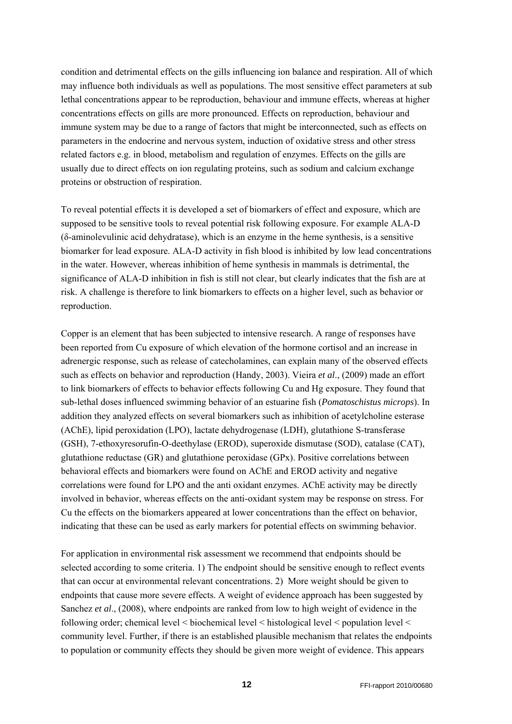condition and detrimental effects on the gills influencing ion balance and respiration. All of which may influence both individuals as well as populations. The most sensitive effect parameters at sub lethal concentrations appear to be reproduction, behaviour and immune effects, whereas at higher concentrations effects on gills are more pronounced. Effects on reproduction, behaviour and immune system may be due to a range of factors that might be interconnected, such as effects on parameters in the endocrine and nervous system, induction of oxidative stress and other stress related factors e.g. in blood, metabolism and regulation of enzymes. Effects on the gills are usually due to direct effects on ion regulating proteins, such as sodium and calcium exchange proteins or obstruction of respiration.

To reveal potential effects it is developed a set of biomarkers of effect and exposure, which are supposed to be sensitive tools to reveal potential risk following exposure. For example ALA-D (δ-aminolevulinic acid dehydratase), which is an enzyme in the heme synthesis, is a sensitive biomarker for lead exposure. ALA-D activity in fish blood is inhibited by low lead concentrations in the water. However, whereas inhibition of heme synthesis in mammals is detrimental, the significance of ALA-D inhibition in fish is still not clear, but clearly indicates that the fish are at risk. A challenge is therefore to link biomarkers to effects on a higher level, such as behavior or reproduction.

Copper is an element that has been subjected to intensive research. A range of responses have been reported from Cu exposure of which elevation of the hormone cortisol and an increase in adrenergic response, such as release of catecholamines, can explain many of the observed effects such as effects on behavior and reproduction (Handy, 2003). Vieira *et al*., (2009) made an effort to link biomarkers of effects to behavior effects following Cu and Hg exposure. They found that sub-lethal doses influenced swimming behavior of an estuarine fish (*Pomatoschistus microps*). In addition they analyzed effects on several biomarkers such as inhibition of acetylcholine esterase (AChE), lipid peroxidation (LPO), lactate dehydrogenase (LDH), glutathione S-transferase (GSH), 7-ethoxyresorufin-O-deethylase (EROD), superoxide dismutase (SOD), catalase (CAT), glutathione reductase (GR) and glutathione peroxidase (GPx). Positive correlations between behavioral effects and biomarkers were found on AChE and EROD activity and negative correlations were found for LPO and the anti oxidant enzymes. AChE activity may be directly involved in behavior, whereas effects on the anti-oxidant system may be response on stress. For Cu the effects on the biomarkers appeared at lower concentrations than the effect on behavior, indicating that these can be used as early markers for potential effects on swimming behavior.

For application in environmental risk assessment we recommend that endpoints should be selected according to some criteria. 1) The endpoint should be sensitive enough to reflect events that can occur at environmental relevant concentrations. 2) More weight should be given to endpoints that cause more severe effects. A weight of evidence approach has been suggested by Sanchez *et al*., (2008), where endpoints are ranked from low to high weight of evidence in the following order; chemical level < biochemical level < histological level < population level < community level. Further, if there is an established plausible mechanism that relates the endpoints to population or community effects they should be given more weight of evidence. This appears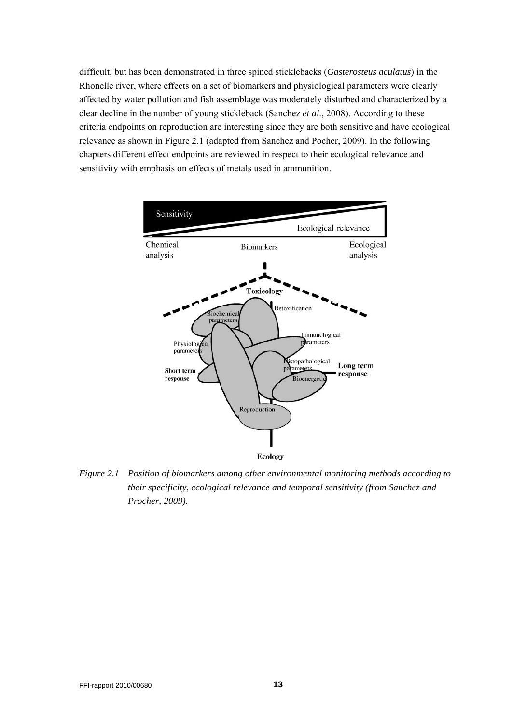difficult, but has been demonstrated in three spined sticklebacks (*Gasterosteus aculatus*) in the Rhonelle river, where effects on a set of biomarkers and physiological parameters were clearly affected by water pollution and fish assemblage was moderately disturbed and characterized by a clear decline in the number of young stickleback (Sanchez *et al*., 2008). According to these criteria endpoints on reproduction are interesting since they are both sensitive and have ecological relevance as shown in Figure 2.1 (adapted from Sanchez and Pocher, 2009). In the following chapters different effect endpoints are reviewed in respect to their ecological relevance and sensitivity with emphasis on effects of metals used in ammunition.



*Figure 2.1 Position of biomarkers among other environmental monitoring methods according to their specificity, ecological relevance and temporal sensitivity (from Sanchez and Procher, 2009).*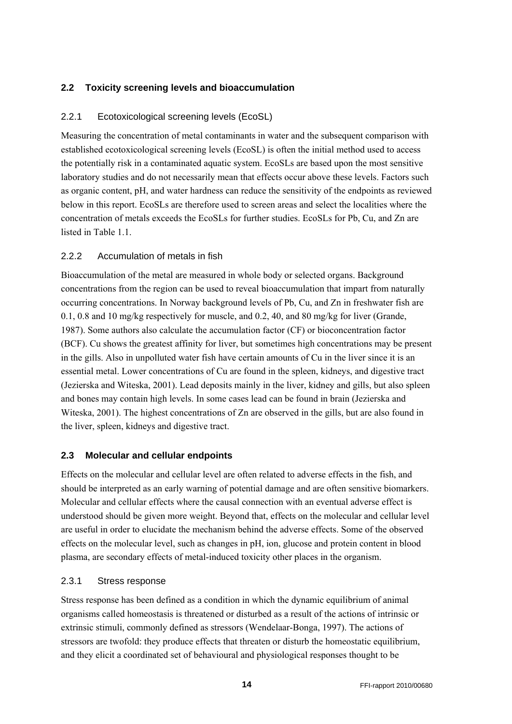### <span id="page-13-0"></span>**2.2 Toxicity screening levels and bioaccumulation**

#### <span id="page-13-1"></span>2.2.1 Ecotoxicological screening levels (EcoSL)

Measuring the concentration of metal contaminants in water and the subsequent comparison with established ecotoxicological screening levels (EcoSL) is often the initial method used to access the potentially risk in a contaminated aquatic system. EcoSLs are based upon the most sensitive laboratory studies and do not necessarily mean that effects occur above these levels. Factors such as organic content, pH, and water hardness can reduce the sensitivity of the endpoints as reviewed below in this report. EcoSLs are therefore used to screen areas and select the localities where the concentration of metals exceeds the EcoSLs for further studies. EcoSLs for Pb, Cu, and Zn are listed in Table 1.1.

### <span id="page-13-2"></span>2.2.2 Accumulation of metals in fish

Bioaccumulation of the metal are measured in whole body or selected organs. Background concentrations from the region can be used to reveal bioaccumulation that impart from naturally occurring concentrations. In Norway background levels of Pb, Cu, and Zn in freshwater fish are 0.1, 0.8 and 10 mg/kg respectively for muscle, and 0.2, 40, and 80 mg/kg for liver (Grande, 1987). Some authors also calculate the accumulation factor (CF) or bioconcentration factor (BCF). Cu shows the greatest affinity for liver, but sometimes high concentrations may be present in the gills. Also in unpolluted water fish have certain amounts of Cu in the liver since it is an essential metal. Lower concentrations of Cu are found in the spleen, kidneys, and digestive tract (Jezierska and Witeska, 2001). Lead deposits mainly in the liver, kidney and gills, but also spleen and bones may contain high levels. In some cases lead can be found in brain (Jezierska and Witeska, 2001). The highest concentrations of Zn are observed in the gills, but are also found in the liver, spleen, kidneys and digestive tract.

### <span id="page-13-3"></span>**2.3 Molecular and cellular endpoints**

Effects on the molecular and cellular level are often related to adverse effects in the fish, and should be interpreted as an early warning of potential damage and are often sensitive biomarkers. Molecular and cellular effects where the causal connection with an eventual adverse effect is understood should be given more weight. Beyond that, effects on the molecular and cellular level are useful in order to elucidate the mechanism behind the adverse effects. Some of the observed effects on the molecular level, such as changes in pH, ion, glucose and protein content in blood plasma, are secondary effects of metal-induced toxicity other places in the organism.

#### <span id="page-13-4"></span>2.3.1 Stress response

Stress response has been defined as a condition in which the dynamic equilibrium of animal organisms called homeostasis is threatened or disturbed as a result of the actions of intrinsic or extrinsic stimuli, commonly defined as stressors (Wendelaar-Bonga, 1997). The actions of stressors are twofold: they produce effects that threaten or disturb the homeostatic equilibrium, and they elicit a coordinated set of behavioural and physiological responses thought to be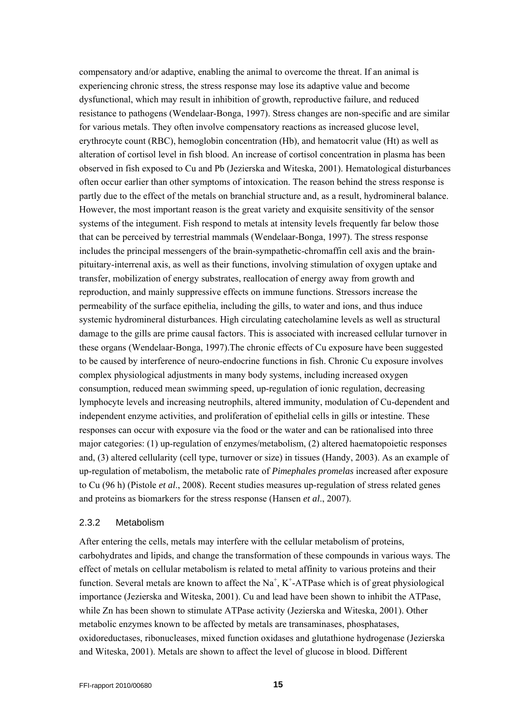compensatory and/or adaptive, enabling the animal to overcome the threat. If an animal is experiencing chronic stress, the stress response may lose its adaptive value and become dysfunctional, which may result in inhibition of growth, reproductive failure, and reduced resistance to pathogens (Wendelaar-Bonga, 1997). Stress changes are non-specific and are similar for various metals. They often involve compensatory reactions as increased glucose level, erythrocyte count (RBC), hemoglobin concentration (Hb), and hematocrit value (Ht) as well as alteration of cortisol level in fish blood. An increase of cortisol concentration in plasma has been observed in fish exposed to Cu and Pb (Jezierska and Witeska, 2001). Hematological disturbances often occur earlier than other symptoms of intoxication. The reason behind the stress response is partly due to the effect of the metals on branchial structure and, as a result, hydromineral balance. However, the most important reason is the great variety and exquisite sensitivity of the sensor systems of the integument. Fish respond to metals at intensity levels frequently far below those that can be perceived by terrestrial mammals (Wendelaar-Bonga, 1997). The stress response includes the principal messengers of the brain-sympathetic-chromaffin cell axis and the brainpituitary-interrenal axis, as well as their functions, involving stimulation of oxygen uptake and transfer, mobilization of energy substrates, reallocation of energy away from growth and reproduction, and mainly suppressive effects on immune functions. Stressors increase the permeability of the surface epithelia, including the gills, to water and ions, and thus induce systemic hydromineral disturbances. High circulating catecholamine levels as well as structural damage to the gills are prime causal factors. This is associated with increased cellular turnover in these organs (Wendelaar-Bonga, 1997).The chronic effects of Cu exposure have been suggested to be caused by interference of neuro-endocrine functions in fish. Chronic Cu exposure involves complex physiological adjustments in many body systems, including increased oxygen consumption, reduced mean swimming speed, up-regulation of ionic regulation, decreasing lymphocyte levels and increasing neutrophils, altered immunity, modulation of Cu-dependent and independent enzyme activities, and proliferation of epithelial cells in gills or intestine. These responses can occur with exposure via the food or the water and can be rationalised into three major categories: (1) up-regulation of enzymes/metabolism, (2) altered haematopoietic responses and, (3) altered cellularity (cell type, turnover or size) in tissues (Handy, 2003). As an example of up-regulation of metabolism, the metabolic rate of *Pimephales promelas* increased after exposure to Cu (96 h) (Pistole *et al*., 2008). Recent studies measures up-regulation of stress related genes and proteins as biomarkers for the stress response (Hansen *et al*., 2007).

#### <span id="page-14-0"></span>2.3.2 Metabolism

After entering the cells, metals may interfere with the cellular metabolism of proteins, carbohydrates and lipids, and change the transformation of these compounds in various ways. The effect of metals on cellular metabolism is related to metal affinity to various proteins and their function. Several metals are known to affect the  $Na<sup>+</sup>, K<sup>+</sup>-ATP$  ase which is of great physiological importance (Jezierska and Witeska, 2001). Cu and lead have been shown to inhibit the ATPase, while Zn has been shown to stimulate ATPase activity (Jezierska and Witeska, 2001). Other metabolic enzymes known to be affected by metals are transaminases, phosphatases, oxidoreductases, ribonucleases, mixed function oxidases and glutathione hydrogenase (Jezierska and Witeska, 2001). Metals are shown to affect the level of glucose in blood. Different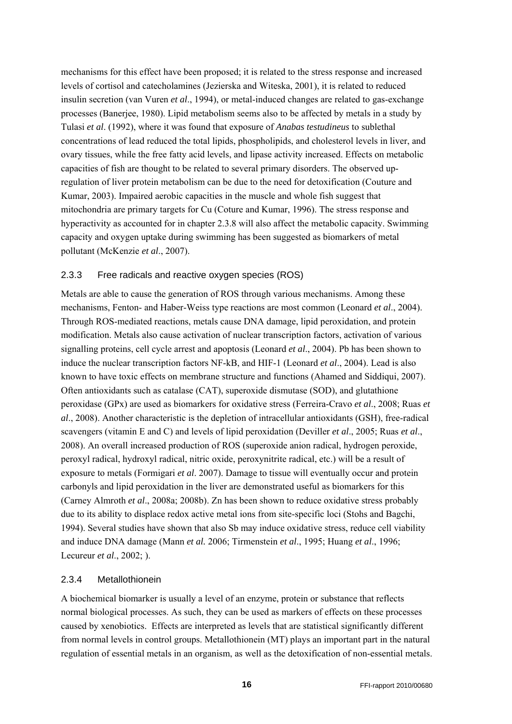mechanisms for this effect have been proposed; it is related to the stress response and increased levels of cortisol and catecholamines (Jezierska and Witeska, 2001), it is related to reduced insulin secretion (van Vuren *et al*., 1994), or metal-induced changes are related to gas-exchange processes (Banerjee, 1980). Lipid metabolism seems also to be affected by metals in a study by Tulasi *et al*. (1992), where it was found that exposure of *Anabas testudineus* to sublethal concentrations of lead reduced the total lipids, phospholipids, and cholesterol levels in liver, and ovary tissues, while the free fatty acid levels, and lipase activity increased. Effects on metabolic capacities of fish are thought to be related to several primary disorders. The observed upregulation of liver protein metabolism can be due to the need for detoxification (Couture and Kumar, 2003). Impaired aerobic capacities in the muscle and whole fish suggest that mitochondria are primary targets for Cu (Coture and Kumar, 1996). The stress response and hyperactivity as accounted for in chapter 2.3.8 will also affect the metabolic capacity. Swimming capacity and oxygen uptake during swimming has been suggested as biomarkers of metal pollutant (McKenzie *et al*., 2007).

#### <span id="page-15-0"></span>2.3.3 Free radicals and reactive oxygen species (ROS)

Metals are able to cause the generation of ROS through various mechanisms. Among these mechanisms, Fenton- and Haber-Weiss type reactions are most common (Leonard *et al*., 2004). Through ROS-mediated reactions, metals cause DNA damage, lipid peroxidation, and protein modification. Metals also cause activation of nuclear transcription factors, activation of various signalling proteins, cell cycle arrest and apoptosis (Leonard *et al*., 2004). Pb has been shown to induce the nuclear transcription factors NF-kB, and HIF-1 (Leonard *et al*., 2004). Lead is also known to have toxic effects on membrane structure and functions (Ahamed and Siddiqui, 2007). Often antioxidants such as catalase (CAT), superoxide dismutase (SOD), and glutathione peroxidase (GPx) are used as biomarkers for oxidative stress (Ferreira-Cravo *et al*., 2008; Ruas *et al*., 2008). Another characteristic is the depletion of intracellular antioxidants (GSH), free-radical scavengers (vitamin E and C) and levels of lipid peroxidation (Deviller *et al*., 2005; Ruas *et al*., 2008). An overall increased production of ROS (superoxide anion radical, hydrogen peroxide, peroxyl radical, hydroxyl radical, nitric oxide, peroxynitrite radical, etc.) will be a result of exposure to metals (Formigari *et al*. 2007). Damage to tissue will eventually occur and protein carbonyls and lipid peroxidation in the liver are demonstrated useful as biomarkers for this (Carney Almroth *et al*., 2008a; 2008b). Zn has been shown to reduce oxidative stress probably due to its ability to displace redox active metal ions from site-specific loci (Stohs and Bagchi, 1994). Several studies have shown that also Sb may induce oxidative stress, reduce cell viability and induce DNA damage (Mann *et al.* 2006; Tirmenstein *et al*., 1995; Huang *et al*., 1996; Lecureur *et al*., 2002; ).

#### <span id="page-15-1"></span>2.3.4 Metallothionein

A biochemical biomarker is usually a level of an enzyme, protein or substance that reflects normal biological processes. As such, they can be used as markers of effects on these processes caused by xenobiotics. Effects are interpreted as levels that are statistical significantly different from normal levels in control groups. Metallothionein (MT) plays an important part in the natural regulation of essential metals in an organism, as well as the detoxification of non-essential metals.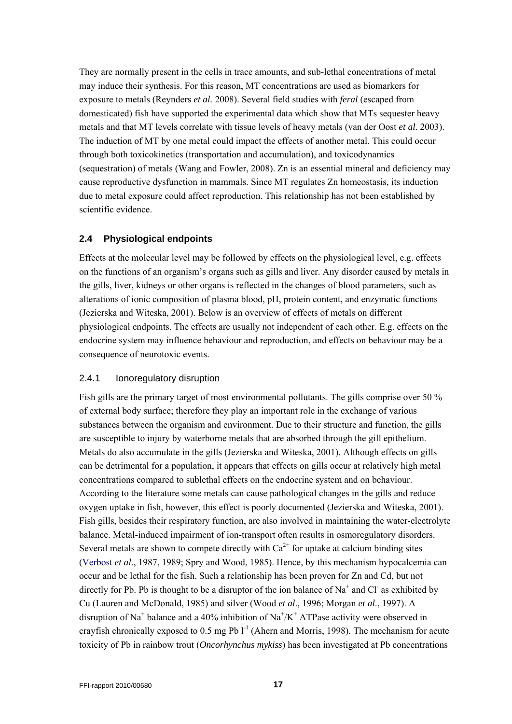They are normally present in the cells in trace amounts, and sub-lethal concentrations of metal may induce their synthesis. For this reason, MT concentrations are used as biomarkers for exposure to metals (Reynders *et al.* 2008). Several field studies with *feral* (escaped from domesticated) fish have supported the experimental data which show that MTs sequester heavy metals and that MT levels correlate with tissue levels of heavy metals (van der Oost *et al.* 2003). The induction of MT by one metal could impact the effects of another metal. This could occur through both toxicokinetics (transportation and accumulation), and toxicodynamics (sequestration) of metals (Wang and Fowler, 2008). Zn is an essential mineral and deficiency may cause reproductive dysfunction in mammals. Since MT regulates Zn homeostasis, its induction due to metal exposure could affect reproduction. This relationship has not been established by scientific evidence.

### <span id="page-16-0"></span>**2.4 Physiological endpoints**

Effects at the molecular level may be followed by effects on the physiological level, e.g. effects on the functions of an organism's organs such as gills and liver. Any disorder caused by metals in the gills, liver, kidneys or other organs is reflected in the changes of blood parameters, such as alterations of ionic composition of plasma blood, pH, protein content, and enzymatic functions (Jezierska and Witeska, 2001). Below is an overview of effects of metals on different physiological endpoints. The effects are usually not independent of each other. E.g. effects on the endocrine system may influence behaviour and reproduction, and effects on behaviour may be a consequence of neurotoxic events.

#### <span id="page-16-1"></span>2.4.1 Ionoregulatory disruption

Fish gills are the primary target of most environmental pollutants. The gills comprise over 50 % of external body surface; therefore they play an important role in the exchange of various substances between the organism and environment. Due to their structure and function, the gills are susceptible to injury by waterborne metals that are absorbed through the gill epithelium. Metals do also accumulate in the gills (Jezierska and Witeska, 2001). Although effects on gills can be detrimental for a population, it appears that effects on gills occur at relatively high metal concentrations compared to sublethal effects on the endocrine system and on behaviour. According to the literature some metals can cause pathological changes in the gills and reduce oxygen uptake in fish, however, this effect is poorly documented (Jezierska and Witeska, 2001). Fish gills, besides their respiratory function, are also involved in maintaining the water-electrolyte balance. Metal-induced impairment of ion-transport often results in osmoregulatory disorders. Several metals are shown to compete directly with  $Ca^{2+}$  for uptake at calcium binding sites (Verbost *et al*., 1987, 1989; Spry and Wood, 1985). Hence, by this mechanism hypocalcemia can occur and be lethal for the fish. Such a relationship has been proven for Zn and Cd, but not directly for Pb. Pb is thought to be a disruptor of the ion balance of  $Na^+$  and Cl as exhibited by Cu (Lauren and McDonald, 1985) and silver (Wood *et al*., 1996; Morgan *et al*., 1997). A disruption of Na<sup>+</sup> balance and a 40% inhibition of Na<sup>+</sup>/K<sup>+</sup> ATPase activity were observed in crayfish chronically exposed to 0.5 mg Pb  $1^{-1}$  (Ahern and Morris, 1998). The mechanism for acute toxicity of Pb in rainbow trout (*Oncorhynchus mykiss*) has been investigated at Pb concentrations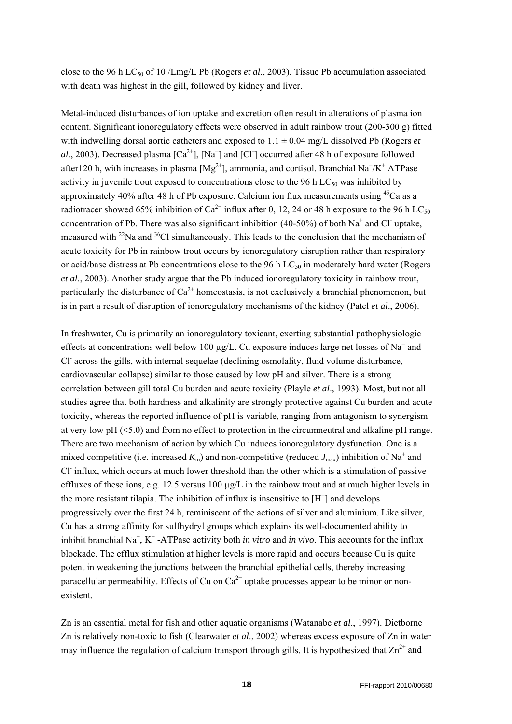close to the 96 h LC50 of 10 /Lmg/L Pb (Rogers *et al*., 2003). Tissue Pb accumulation associated with death was highest in the gill, followed by kidney and liver.

Metal-induced disturbances of ion uptake and excretion often result in alterations of plasma ion content. Significant ionoregulatory effects were observed in adult rainbow trout (200-300 g) fitted with indwelling dorsal aortic catheters and exposed to  $1.1 \pm 0.04$  mg/L dissolved Pb (Rogers *et* al., 2003). Decreased plasma  $\lbrack Ca^{2+} \rbrack$ ,  $\lbrack Na^{+} \rbrack$  and  $\lbrack Cl^{+} \rbrack$  occurred after 48 h of exposure followed after 120 h, with increases in plasma  $[Mg^{2+}]$ , ammonia, and cortisol. Branchial Na<sup>+</sup>/K<sup>+</sup> ATPase activity in juvenile trout exposed to concentrations close to the 96 h  $LC_{50}$  was inhibited by approximately 40% after 48 h of Pb exposure. Calcium ion flux measurements using  $45$ Ca as a radiotracer showed 65% inhibition of  $Ca^{2+}$  influx after 0, 12, 24 or 48 h exposure to the 96 h LC<sub>50</sub> concentration of Pb. There was also significant inhibition (40-50%) of both  $Na<sup>+</sup>$  and Cl uptake, measured with  $^{22}$ Na and  $^{36}$ Cl simultaneously. This leads to the conclusion that the mechanism of acute toxicity for Pb in rainbow trout occurs by ionoregulatory disruption rather than respiratory or acid/base distress at Pb concentrations close to the 96 h  $LC_{50}$  in moderately hard water (Rogers *et al*., 2003). Another study argue that the Pb induced ionoregulatory toxicity in rainbow trout, particularly the disturbance of  $Ca^{2+}$  homeostasis, is not exclusively a branchial phenomenon, but is in part a result of disruption of ionoregulatory mechanisms of the kidney (Patel *et al*., 2006).

In freshwater, Cu is primarily an ionoregulatory toxicant, exerting substantial pathophysiologic effects at concentrations well below 100  $\mu$ g/L. Cu exposure induces large net losses of Na<sup>+</sup> and Cl<sup>-</sup> across the gills, with internal sequelae (declining osmolality, fluid volume disturbance, cardiovascular collapse) similar to those caused by low pH and silver. There is a strong correlation between gill total Cu burden and acute toxicity (Playle *et al*., 1993). Most, but not all studies agree that both hardness and alkalinity are strongly protective against Cu burden and acute toxicity, whereas the reported influence of pH is variable, ranging from antagonism to synergism at very low pH (<5.0) and from no effect to protection in the circumneutral and alkaline pH range. There are two mechanism of action by which Cu induces ionoregulatory dysfunction. One is a mixed competitive (i.e. increased  $K_m$ ) and non-competitive (reduced  $J_{\text{max}}$ ) inhibition of Na<sup>+</sup> and Cl<sup>-</sup> influx, which occurs at much lower threshold than the other which is a stimulation of passive effluxes of these ions, e.g. 12.5 versus 100  $\mu$ g/L in the rainbow trout and at much higher levels in the more resistant tilapia. The inhibition of influx is insensitive to  $[H<sup>+</sup>]$  and develops progressively over the first 24 h, reminiscent of the actions of silver and aluminium. Like silver, Cu has a strong affinity for sulfhydryl groups which explains its well-documented ability to inhibit branchial Na<sup>+</sup>, K<sup>+</sup> -ATPase activity both *in vitro* and *in vivo*. This accounts for the influx blockade. The efflux stimulation at higher levels is more rapid and occurs because Cu is quite potent in weakening the junctions between the branchial epithelial cells, thereby increasing paracellular permeability. Effects of Cu on  $Ca^{2+}$  uptake processes appear to be minor or nonexistent.

Zn is an essential metal for fish and other aquatic organisms (Watanabe *et al*., 1997). Dietborne Zn is relatively non-toxic to fish (Clearwater *et al*., 2002) whereas excess exposure of Zn in water may influence the regulation of calcium transport through gills. It is hypothesized that  $Zn^{2+}$  and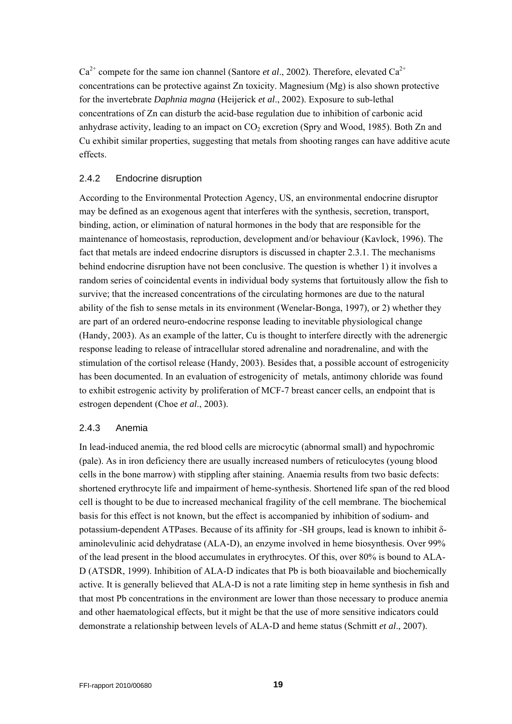$Ca^{2+}$  compete for the same ion channel (Santore *et al.*, 2002). Therefore, elevated  $Ca^{2+}$ concentrations can be protective against Zn toxicity. Magnesium (Mg) is also shown protective for the invertebrate *Daphnia magna* (Heijerick *et al*., 2002). Exposure to sub-lethal concentrations of Zn can disturb the acid-base regulation due to inhibition of carbonic acid anhydrase activity, leading to an impact on  $CO_2$  excretion (Spry and Wood, 1985). Both Zn and Cu exhibit similar properties, suggesting that metals from shooting ranges can have additive acute effects.

#### <span id="page-18-0"></span>2.4.2 Endocrine disruption

According to the Environmental Protection Agency, US, an environmental endocrine disruptor may be defined as an exogenous agent that interferes with the synthesis, secretion, transport, binding, action, or elimination of natural hormones in the body that are responsible for the maintenance of homeostasis, reproduction, development and/or behaviour (Kavlock, 1996). The fact that metals are indeed endocrine disruptors is discussed in chapter 2.3.1. The mechanisms behind endocrine disruption have not been conclusive. The question is whether 1) it involves a random series of coincidental events in individual body systems that fortuitously allow the fish to survive; that the increased concentrations of the circulating hormones are due to the natural ability of the fish to sense metals in its environment (Wenelar-Bonga, 1997), or 2) whether they are part of an ordered neuro-endocrine response leading to inevitable physiological change (Handy, 2003). As an example of the latter, Cu is thought to interfere directly with the adrenergic response leading to release of intracellular stored adrenaline and noradrenaline, and with the stimulation of the cortisol release (Handy, 2003). Besides that, a possible account of estrogenicity has been documented. In an evaluation of estrogenicity of metals, antimony chloride was found to exhibit estrogenic activity by proliferation of MCF-7 breast cancer cells, an endpoint that is estrogen dependent (Choe *et al*., 2003).

#### <span id="page-18-1"></span>2.4.3 Anemia

In lead-induced anemia, the red blood cells are microcytic (abnormal small) and hypochromic (pale). As in iron deficiency there are usually increased numbers of reticulocytes (young blood cells in the bone marrow) with stippling after staining. Anaemia results from two basic defects: shortened erythrocyte life and impairment of heme-synthesis. Shortened life span of the red blood cell is thought to be due to increased mechanical fragility of the cell membrane. The biochemical basis for this effect is not known, but the effect is accompanied by inhibition of sodium- and potassium-dependent ATPases. Because of its affinity for -SH groups, lead is known to inhibit δaminolevulinic acid dehydratase (ALA-D), an enzyme involved in heme biosynthesis. Over 99% of the lead present in the blood accumulates in erythrocytes. Of this, over 80% is bound to ALA-D (ATSDR, 1999). Inhibition of ALA-D indicates that Pb is both bioavailable and biochemically active. It is generally believed that ALA-D is not a rate limiting step in heme synthesis in fish and that most Pb concentrations in the environment are lower than those necessary to produce anemia and other haematological effects, but it might be that the use of more sensitive indicators could demonstrate a relationship between levels of ALA-D and heme status (Schmitt *et al*., 2007).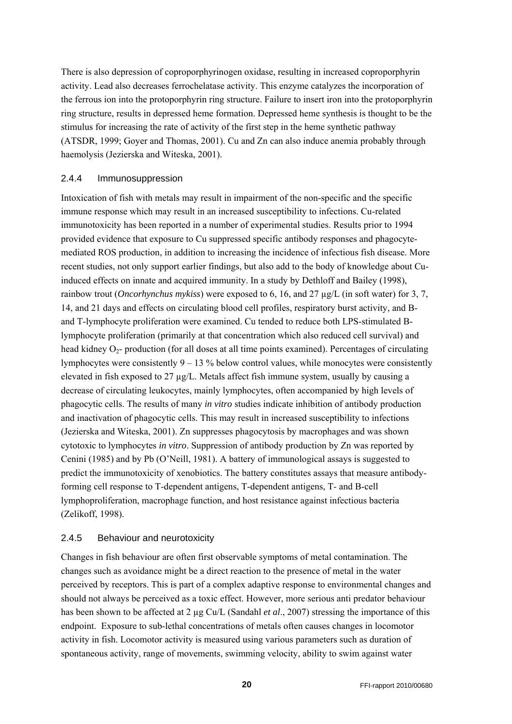There is also depression of coproporphyrinogen oxidase, resulting in increased coproporphyrin activity. Lead also decreases ferrochelatase activity. This enzyme catalyzes the incorporation of the ferrous ion into the protoporphyrin ring structure. Failure to insert iron into the protoporphyrin ring structure, results in depressed heme formation. Depressed heme synthesis is thought to be the stimulus for increasing the rate of activity of the first step in the heme synthetic pathway (ATSDR, 1999; Goyer and Thomas, 2001). Cu and Zn can also induce anemia probably through haemolysis (Jezierska and Witeska, 2001).

#### <span id="page-19-0"></span>2.4.4 Immunosuppression

Intoxication of fish with metals may result in impairment of the non-specific and the specific immune response which may result in an increased susceptibility to infections. Cu-related immunotoxicity has been reported in a number of experimental studies. Results prior to 1994 provided evidence that exposure to Cu suppressed specific antibody responses and phagocytemediated ROS production, in addition to increasing the incidence of infectious fish disease. More recent studies, not only support earlier findings, but also add to the body of knowledge about Cuinduced effects on innate and acquired immunity. In a study by Dethloff and Bailey (1998), rainbow trout (*Oncorhynchus mykiss*) were exposed to 6, 16, and 27 µg/L (in soft water) for 3, 7, 14, and 21 days and effects on circulating blood cell profiles, respiratory burst activity, and Band T-lymphocyte proliferation were examined. Cu tended to reduce both LPS-stimulated Blymphocyte proliferation (primarily at that concentration which also reduced cell survival) and head kidney  $O_2$ - production (for all doses at all time points examined). Percentages of circulating lymphocytes were consistently  $9 - 13$ % below control values, while monocytes were consistently elevated in fish exposed to 27  $\mu$ g/L. Metals affect fish immune system, usually by causing a decrease of circulating leukocytes, mainly lymphocytes, often accompanied by high levels of phagocytic cells. The results of many *in vitro* studies indicate inhibition of antibody production and inactivation of phagocytic cells. This may result in increased susceptibility to infections (Jezierska and Witeska, 2001). Zn suppresses phagocytosis by macrophages and was shown cytotoxic to lymphocytes *in vitro*. Suppression of antibody production by Zn was reported by Cenini (1985) and by Pb (O'Neill, 1981). A battery of immunological assays is suggested to predict the immunotoxicity of xenobiotics. The battery constitutes assays that measure antibodyforming cell response to T-dependent antigens, T-dependent antigens, T- and B-cell lymphoproliferation, macrophage function, and host resistance against infectious bacteria (Zelikoff, 1998).

#### <span id="page-19-1"></span>2.4.5 Behaviour and neurotoxicity

Changes in fish behaviour are often first observable symptoms of metal contamination. The changes such as avoidance might be a direct reaction to the presence of metal in the water perceived by receptors. This is part of a complex adaptive response to environmental changes and should not always be perceived as a toxic effect. However, more serious anti predator behaviour has been shown to be affected at 2 µg Cu/L (Sandahl *et al*., 2007) stressing the importance of this endpoint. Exposure to sub-lethal concentrations of metals often causes changes in locomotor activity in fish. Locomotor activity is measured using various parameters such as duration of spontaneous activity, range of movements, swimming velocity, ability to swim against water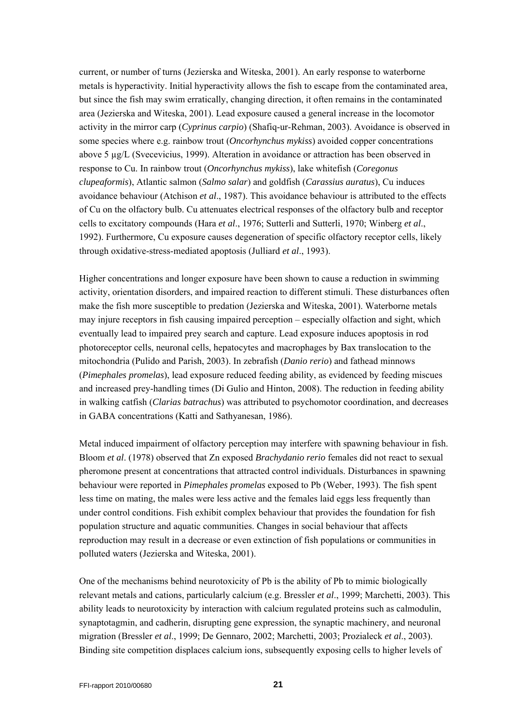current, or number of turns (Jezierska and Witeska, 2001). An early response to waterborne metals is hyperactivity. Initial hyperactivity allows the fish to escape from the contaminated area, but since the fish may swim erratically, changing direction, it often remains in the contaminated area (Jezierska and Witeska, 2001). Lead exposure caused a general increase in the locomotor activity in the mirror carp (*Cyprinus carpio*) (Shafiq-ur-Rehman, 2003). Avoidance is observed in some species where e.g. rainbow trout (*Oncorhynchus mykiss*) avoided copper concentrations above 5 µg/L (Svecevicius, 1999). Alteration in avoidance or attraction has been observed in response to Cu. In rainbow trout (*Oncorhynchus mykiss*), lake whitefish (*Coregonus clupeaformis*), Atlantic salmon (*Salmo salar*) and goldfish (*Carassius auratus*), Cu induces avoidance behaviour (Atchison *et al*., 1987). This avoidance behaviour is attributed to the effects of Cu on the olfactory bulb. Cu attenuates electrical responses of the olfactory bulb and receptor cells to excitatory compounds (Hara *et al*., 1976; Sutterli and Sutterli, 1970; Winberg *et al*., 1992). Furthermore, Cu exposure causes degeneration of specific olfactory receptor cells, likely through oxidative-stress-mediated apoptosis (Julliard *et al*., 1993).

Higher concentrations and longer exposure have been shown to cause a reduction in swimming activity, orientation disorders, and impaired reaction to different stimuli. These disturbances often make the fish more susceptible to predation (Jezierska and Witeska, 2001). Waterborne metals may injure receptors in fish causing impaired perception – especially olfaction and sight, which eventually lead to impaired prey search and capture. Lead exposure induces apoptosis in rod photoreceptor cells, neuronal cells, hepatocytes and macrophages by Bax translocation to the mitochondria (Pulido and Parish, 2003). In zebrafish (*Danio rerio*) and fathead minnows (*Pimephales promelas*), lead exposure reduced feeding ability, as evidenced by feeding miscues and increased prey-handling times (Di Gulio and Hinton, 2008). The reduction in feeding ability in walking catfish (*Clarias batrachus*) was attributed to psychomotor coordination, and decreases in GABA concentrations (Katti and Sathyanesan, 1986).

Metal induced impairment of olfactory perception may interfere with spawning behaviour in fish. Bloom *et al*. (1978) observed that Zn exposed *Brachydanio rerio* females did not react to sexual pheromone present at concentrations that attracted control individuals. Disturbances in spawning behaviour were reported in *Pimephales promelas* exposed to Pb (Weber, 1993). The fish spent less time on mating, the males were less active and the females laid eggs less frequently than under control conditions. Fish exhibit complex behaviour that provides the foundation for fish population structure and aquatic communities. Changes in social behaviour that affects reproduction may result in a decrease or even extinction of fish populations or communities in polluted waters (Jezierska and Witeska, 2001).

One of the mechanisms behind neurotoxicity of Pb is the ability of Pb to mimic biologically relevant metals and cations, particularly calcium (e.g. Bressler *et al*., 1999; Marchetti, 2003). This ability leads to neurotoxicity by interaction with calcium regulated proteins such as calmodulin, synaptotagmin, and cadherin, disrupting gene expression, the synaptic machinery, and neuronal migration (Bressler *et al*., 1999; De Gennaro, 2002; Marchetti, 2003; Prozialeck *et al*., 2003). Binding site competition displaces calcium ions, subsequently exposing cells to higher levels of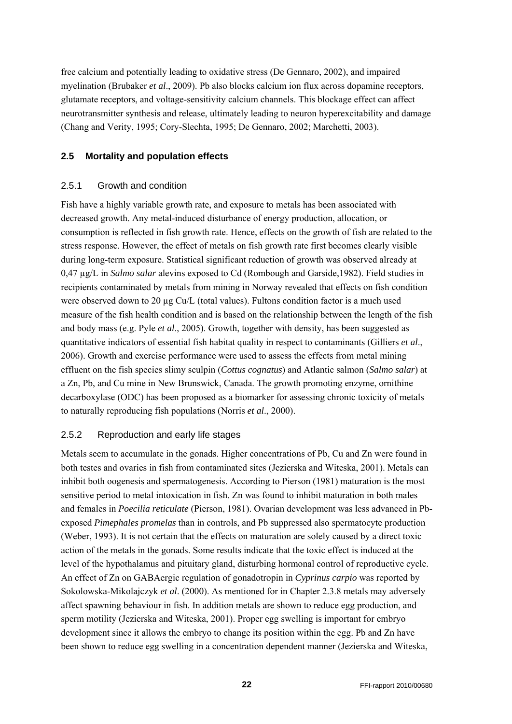free calcium and potentially leading to oxidative stress (De Gennaro, 2002), and impaired myelination (Brubaker *et al*., 2009). Pb also blocks calcium ion flux across dopamine receptors, glutamate receptors, and voltage-sensitivity calcium channels. This blockage effect can affect neurotransmitter synthesis and release, ultimately leading to neuron hyperexcitability and damage (Chang and Verity, 1995; Cory-Slechta, 1995; De Gennaro, 2002; Marchetti, 2003).

#### <span id="page-21-0"></span>**2.5 Mortality and population effects**

#### <span id="page-21-1"></span>2.5.1 Growth and condition

Fish have a highly variable growth rate, and exposure to metals has been associated with decreased growth. Any metal-induced disturbance of energy production, allocation, or consumption is reflected in fish growth rate. Hence, effects on the growth of fish are related to the stress response. However, the effect of metals on fish growth rate first becomes clearly visible during long-term exposure. Statistical significant reduction of growth was observed already at 0,47 µg/L in *Salmo salar* alevins exposed to Cd (Rombough and Garside,1982). Field studies in recipients contaminated by metals from mining in Norway revealed that effects on fish condition were observed down to 20 µg Cu/L (total values). Fultons condition factor is a much used measure of the fish health condition and is based on the relationship between the length of the fish and body mass (e.g. Pyle *et al*., 2005). Growth, together with density, has been suggested as quantitative indicators of essential fish habitat quality in respect to contaminants (Gilliers *et al*., 2006). Growth and exercise performance were used to assess the effects from metal mining effluent on the fish species slimy sculpin (*Cottus cognatus*) and Atlantic salmon (*Salmo salar*) at a Zn, Pb, and Cu mine in New Brunswick, Canada. The growth promoting enzyme, ornithine decarboxylase (ODC) has been proposed as a biomarker for assessing chronic toxicity of metals to naturally reproducing fish populations (Norris *et al*., 2000).

### <span id="page-21-2"></span>2.5.2 Reproduction and early life stages

Metals seem to accumulate in the gonads. Higher concentrations of Pb, Cu and Zn were found in both testes and ovaries in fish from contaminated sites (Jezierska and Witeska, 2001). Metals can inhibit both oogenesis and spermatogenesis. According to Pierson (1981) maturation is the most sensitive period to metal intoxication in fish. Zn was found to inhibit maturation in both males and females in *Poecilia reticulate* (Pierson, 1981). Ovarian development was less advanced in Pbexposed *Pimephales promelas* than in controls, and Pb suppressed also spermatocyte production (Weber, 1993). It is not certain that the effects on maturation are solely caused by a direct toxic action of the metals in the gonads. Some results indicate that the toxic effect is induced at the level of the hypothalamus and pituitary gland, disturbing hormonal control of reproductive cycle. An effect of Zn on GABAergic regulation of gonadotropin in *Cyprinus carpio* was reported by Sokolowska-Mikolajczyk *et al*. (2000). As mentioned for in Chapter 2.3.8 metals may adversely affect spawning behaviour in fish. In addition metals are shown to reduce egg production, and sperm motility (Jezierska and Witeska, 2001). Proper egg swelling is important for embryo development since it allows the embryo to change its position within the egg. Pb and Zn have been shown to reduce egg swelling in a concentration dependent manner (Jezierska and Witeska,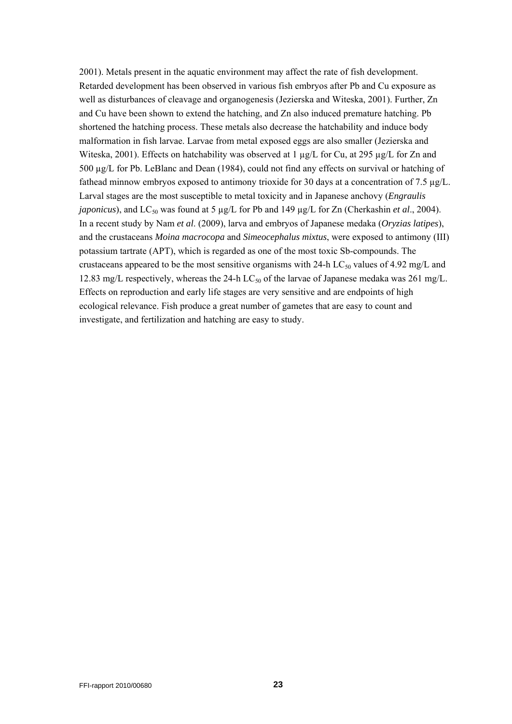2001). Metals present in the aquatic environment may affect the rate of fish development. Retarded development has been observed in various fish embryos after Pb and Cu exposure as well as disturbances of cleavage and organogenesis (Jezierska and Witeska, 2001). Further, Zn and Cu have been shown to extend the hatching, and Zn also induced premature hatching. Pb shortened the hatching process. These metals also decrease the hatchability and induce body malformation in fish larvae. Larvae from metal exposed eggs are also smaller (Jezierska and Witeska, 2001). Effects on hatchability was observed at 1 µg/L for Cu, at 295 µg/L for Zn and 500 µg/L for Pb. LeBlanc and Dean (1984), could not find any effects on survival or hatching of fathead minnow embryos exposed to antimony trioxide for 30 days at a concentration of 7.5  $\mu$ g/L. Larval stages are the most susceptible to metal toxicity and in Japanese anchovy (*Engraulis japonicus*), and LC<sub>50</sub> was found at 5 µg/L for Pb and 149 µg/L for Zn (Cherkashin *et al.*, 2004). In a recent study by Nam *et al*. (2009), larva and embryos of Japanese medaka (*Oryzias latipes*), and the crustaceans *Moina macrocopa* and *Simeocephalus mixtus*, were exposed to antimony (III) potassium tartrate (APT), which is regarded as one of the most toxic Sb-compounds. The crustaceans appeared to be the most sensitive organisms with 24-h LC<sub>50</sub> values of 4.92 mg/L and 12.83 mg/L respectively, whereas the 24-h LC<sub>50</sub> of the larvae of Japanese medaka was 261 mg/L. Effects on reproduction and early life stages are very sensitive and are endpoints of high ecological relevance. Fish produce a great number of gametes that are easy to count and investigate, and fertilization and hatching are easy to study.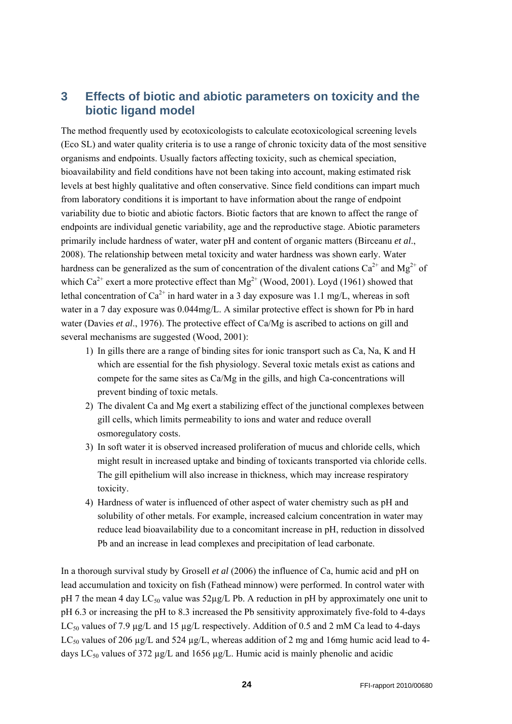## <span id="page-23-0"></span>**3 Effects of biotic and abiotic parameters on toxicity and the biotic ligand model**

The method frequently used by ecotoxicologists to calculate ecotoxicological screening levels (Eco SL) and water quality criteria is to use a range of chronic toxicity data of the most sensitive organisms and endpoints. Usually factors affecting toxicity, such as chemical speciation, bioavailability and field conditions have not been taking into account, making estimated risk levels at best highly qualitative and often conservative. Since field conditions can impart much from laboratory conditions it is important to have information about the range of endpoint variability due to biotic and abiotic factors. Biotic factors that are known to affect the range of endpoints are individual genetic variability, age and the reproductive stage. Abiotic parameters primarily include hardness of water, water pH and content of organic matters (Birceanu *et al*., 2008). The relationship between metal toxicity and water hardness was shown early. Water hardness can be generalized as the sum of concentration of the divalent cations  $Ca^{2+}$  and  $Mg^{2+}$  of which  $Ca^{2+}$  exert a more protective effect than  $Mg^{2+}$  (Wood, 2001). Loyd (1961) showed that lethal concentration of  $Ca^{2+}$  in hard water in a 3 day exposure was 1.1 mg/L, whereas in soft water in a 7 day exposure was 0.044mg/L. A similar protective effect is shown for Pb in hard water (Davies *et al*., 1976). The protective effect of Ca/Mg is ascribed to actions on gill and several mechanisms are suggested (Wood, 2001):

- 1) In gills there are a range of binding sites for ionic transport such as Ca, Na, K and H which are essential for the fish physiology. Several toxic metals exist as cations and compete for the same sites as Ca/Mg in the gills, and high Ca-concentrations will prevent binding of toxic metals.
- 2) The divalent Ca and Mg exert a stabilizing effect of the junctional complexes between gill cells, which limits permeability to ions and water and reduce overall osmoregulatory costs.
- 3) In soft water it is observed increased proliferation of mucus and chloride cells, which might result in increased uptake and binding of toxicants transported via chloride cells. The gill epithelium will also increase in thickness, which may increase respiratory toxicity.
- 4) Hardness of water is influenced of other aspect of water chemistry such as pH and solubility of other metals. For example, increased calcium concentration in water may reduce lead bioavailability due to a concomitant increase in pH, reduction in dissolved Pb and an increase in lead complexes and precipitation of lead carbonate.

In a thorough survival study by Grosell *et al* (2006) the influence of Ca, humic acid and pH on lead accumulation and toxicity on fish (Fathead minnow) were performed. In control water with pH 7 the mean 4 day  $LC_{50}$  value was  $52\mu g/L$  Pb. A reduction in pH by approximately one unit to pH 6.3 or increasing the pH to 8.3 increased the Pb sensitivity approximately five-fold to 4-days LC<sub>50</sub> values of 7.9  $\mu$ g/L and 15  $\mu$ g/L respectively. Addition of 0.5 and 2 mM Ca lead to 4-days LC<sub>50</sub> values of 206  $\mu$ g/L and 524  $\mu$ g/L, whereas addition of 2 mg and 16mg humic acid lead to 4days  $LC_{50}$  values of 372 µg/L and 1656 µg/L. Humic acid is mainly phenolic and acidic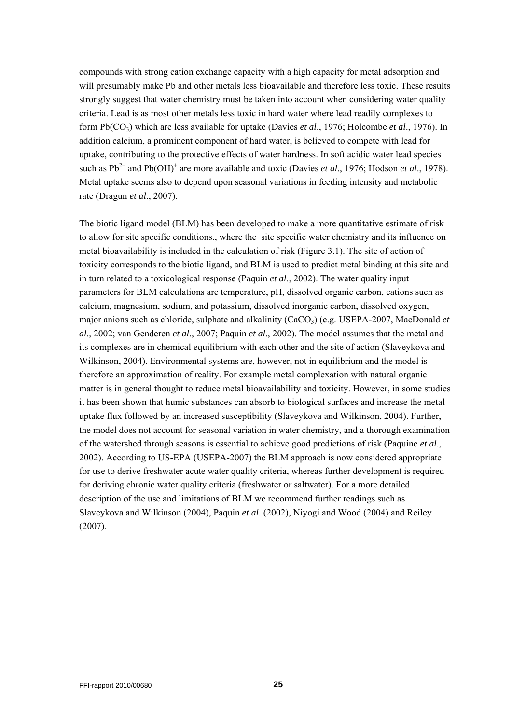compounds with strong cation exchange capacity with a high capacity for metal adsorption and will presumably make Pb and other metals less bioavailable and therefore less toxic. These results strongly suggest that water chemistry must be taken into account when considering water quality criteria. Lead is as most other metals less toxic in hard water where lead readily complexes to form Pb(CO3) which are less available for uptake (Davies *et al*., 1976; Holcombe *et al*., 1976). In addition calcium, a prominent component of hard water, is believed to compete with lead for uptake, contributing to the protective effects of water hardness. In soft acidic water lead species such as  $Pb^{2+}$  and  $Pb(OH)^+$  are more available and toxic (Davies *et al.*, 1976; Hodson *et al.*, 1978). Metal uptake seems also to depend upon seasonal variations in feeding intensity and metabolic rate (Dragun *et al*., 2007).

The biotic ligand model (BLM) has been developed to make a more quantitative estimate of risk to allow for site specific conditions., where the site specific water chemistry and its influence on metal bioavailability is included in the calculation of risk (Figure 3.1). The site of action of toxicity corresponds to the biotic ligand, and BLM is used to predict metal binding at this site and in turn related to a toxicological response (Paquin *et al*., 2002). The water quality input parameters for BLM calculations are temperature, pH, dissolved organic carbon, cations such as calcium, magnesium, sodium, and potassium, dissolved inorganic carbon, dissolved oxygen, major anions such as chloride, sulphate and alkalinity (CaCO<sub>3</sub>) (e.g. USEPA-2007, MacDonald *et al*., 2002; van Genderen *et al*., 2007; Paquin *et al*., 2002). The model assumes that the metal and its complexes are in chemical equilibrium with each other and the site of action (Slaveykova and Wilkinson, 2004). Environmental systems are, however, not in equilibrium and the model is therefore an approximation of reality. For example metal complexation with natural organic matter is in general thought to reduce metal bioavailability and toxicity. However, in some studies it has been shown that humic substances can absorb to biological surfaces and increase the metal uptake flux followed by an increased susceptibility (Slaveykova and Wilkinson, 2004). Further, the model does not account for seasonal variation in water chemistry, and a thorough examination of the watershed through seasons is essential to achieve good predictions of risk (Paquine *et al*., 2002). According to US-EPA (USEPA-2007) the BLM approach is now considered appropriate for use to derive freshwater acute water quality criteria, whereas further development is required for deriving chronic water quality criteria (freshwater or saltwater). For a more detailed description of the use and limitations of BLM we recommend further readings such as Slaveykova and Wilkinson (2004), Paquin *et al*. (2002), Niyogi and Wood (2004) and Reiley (2007).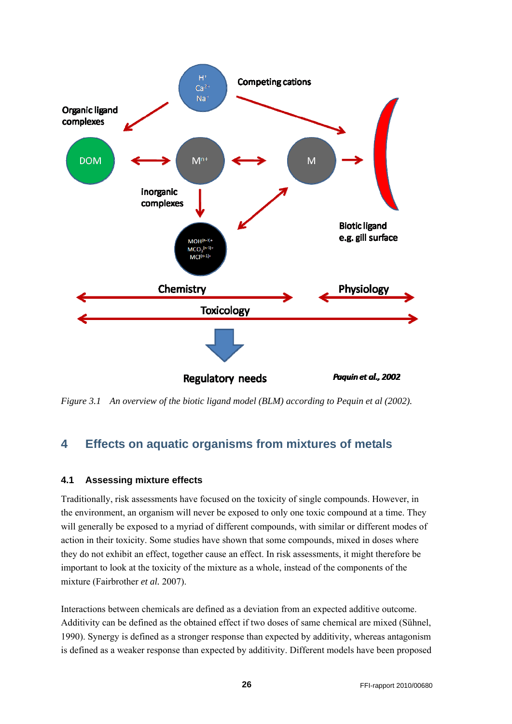

*Figure 3.1 An overview of the biotic ligand model (BLM) according to Pequin et al (2002).* 

## <span id="page-25-0"></span>**4 Effects on aquatic organisms from mixtures of metals**

#### <span id="page-25-1"></span>**4.1 Assessing mixture effects**

Traditionally, risk assessments have focused on the toxicity of single compounds. However, in the environment, an organism will never be exposed to only one toxic compound at a time. They will generally be exposed to a myriad of different compounds, with similar or different modes of action in their toxicity. Some studies have shown that some compounds, mixed in doses where they do not exhibit an effect, together cause an effect. In risk assessments, it might therefore be important to look at the toxicity of the mixture as a whole, instead of the components of the mixture (Fairbrother *et al.* 2007).

Interactions between chemicals are defined as a deviation from an expected additive outcome. Additivity can be defined as the obtained effect if two doses of same chemical are mixed (Sühnel, 1990). Synergy is defined as a stronger response than expected by additivity, whereas antagonism is defined as a weaker response than expected by additivity. Different models have been proposed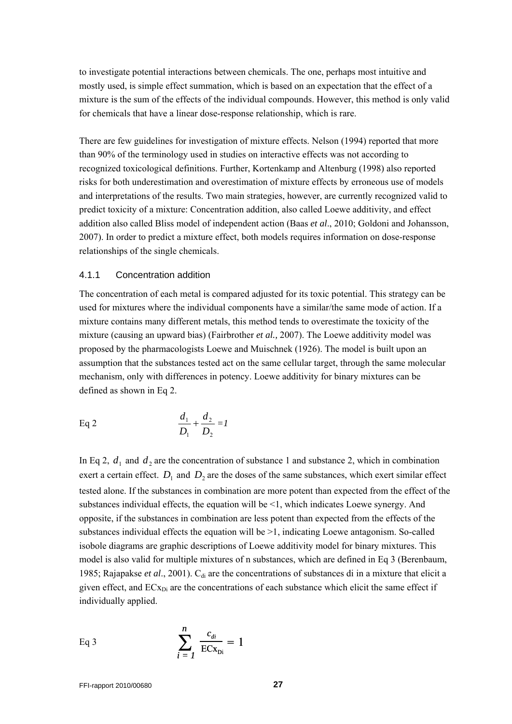to investigate potential interactions between chemicals. The one, perhaps most intuitive and mostly used, is simple effect summation, which is based on an expectation that the effect of a mixture is the sum of the effects of the individual compounds. However, this method is only valid for chemicals that have a linear dose-response relationship, which is rare.

There are few guidelines for investigation of mixture effects. Nelson (1994) reported that more than 90% of the terminology used in studies on interactive effects was not according to recognized toxicological definitions. Further, Kortenkamp and Altenburg (1998) also reported risks for both underestimation and overestimation of mixture effects by erroneous use of models and interpretations of the results. Two main strategies, however, are currently recognized valid to predict toxicity of a mixture: Concentration addition, also called Loewe additivity, and effect addition also called Bliss model of independent action (Baas *et al*., 2010; Goldoni and Johansson, 2007). In order to predict a mixture effect, both models requires information on dose-response relationships of the single chemicals.

#### <span id="page-26-0"></span>4.1.1 Concentration addition

The concentration of each metal is compared adjusted for its toxic potential. This strategy can be used for mixtures where the individual components have a similar/the same mode of action. If a mixture contains many different metals, this method tends to overestimate the toxicity of the mixture (causing an upward bias) (Fairbrother *et al.,* 2007). The Loewe additivity model was proposed by the pharmacologists Loewe and Muischnek (1926). The model is built upon an assumption that the substances tested act on the same cellular target, through the same molecular mechanism, only with differences in potency. Loewe additivity for binary mixtures can be defined as shown in Eq 2.

Eq 2 
$$
\frac{d_1}{D_1} + \frac{d_2}{D_2} = I
$$

In Eq 2,  $d_1$  and  $d_2$  are the concentration of substance 1 and substance 2, which in combination exert a certain effect.  $D_1$  and  $D_2$  are the doses of the same substances, which exert similar effect tested alone. If the substances in combination are more potent than expected from the effect of the substances individual effects, the equation will be  $\leq 1$ , which indicates Loewe synergy. And opposite, if the substances in combination are less potent than expected from the effects of the substances individual effects the equation will be  $\geq 1$ , indicating Loewe antagonism. So-called isobole diagrams are graphic descriptions of Loewe additivity model for binary mixtures. This model is also valid for multiple mixtures of n substances, which are defined in Eq 3 (Berenbaum, 1985; Rajapakse *et al.*, 2001). C<sub>di</sub> are the concentrations of substances di in a mixture that elicit a given effect, and  $ECx_{Di}$  are the concentrations of each substance which elicit the same effect if individually applied.

Eq 3 
$$
\sum_{i=1}^{n} \frac{c_{di}}{\text{ECx}_{Di}} = 1
$$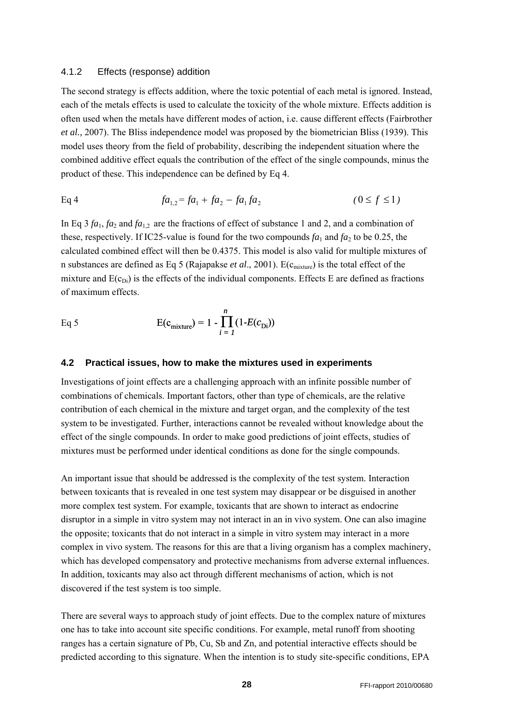#### <span id="page-27-0"></span>4.1.2 Effects (response) addition

The second strategy is effects addition, where the toxic potential of each metal is ignored. Instead, each of the metals effects is used to calculate the toxicity of the whole mixture. Effects addition is often used when the metals have different modes of action, i.e. cause different effects (Fairbrother *et al.,* 2007). The Bliss independence model was proposed by the biometrician Bliss (1939). This model uses theory from the field of probability, describing the independent situation where the combined additive effect equals the contribution of the effect of the single compounds, minus the product of these. This independence can be defined by Eq 4.

Eq 4 
$$
fa_{1,2} = fa_1 + fa_2 - fa_1fa_2
$$
  $(0 \le f \le 1)$ 

In Eq 3  $fa_1$ ,  $fa_2$  and  $fa_1$ , are the fractions of effect of substance 1 and 2, and a combination of these, respectively. If IC25-value is found for the two compounds  $fa_1$  and  $fa_2$  to be 0.25, the calculated combined effect will then be 0.4375. This model is also valid for multiple mixtures of n substances are defined as Eq 5 (Rajapakse *et al.*, 2001). E(c<sub>mixture</sub>) is the total effect of the mixture and  $E(c_{Di})$  is the effects of the individual components. Effects E are defined as fractions of maximum effects.

Eq 5 
$$
E(c_{\text{mixture}}) = 1 - \prod_{i=1}^{n} (1 - E(c_{\text{Di}}))
$$

#### <span id="page-27-1"></span>**4.2 Practical issues, how to make the mixtures used in experiments**

Investigations of joint effects are a challenging approach with an infinite possible number of combinations of chemicals. Important factors, other than type of chemicals, are the relative contribution of each chemical in the mixture and target organ, and the complexity of the test system to be investigated. Further, interactions cannot be revealed without knowledge about the effect of the single compounds. In order to make good predictions of joint effects, studies of mixtures must be performed under identical conditions as done for the single compounds.

An important issue that should be addressed is the complexity of the test system. Interaction between toxicants that is revealed in one test system may disappear or be disguised in another more complex test system. For example, toxicants that are shown to interact as endocrine disruptor in a simple in vitro system may not interact in an in vivo system. One can also imagine the opposite; toxicants that do not interact in a simple in vitro system may interact in a more complex in vivo system. The reasons for this are that a living organism has a complex machinery, which has developed compensatory and protective mechanisms from adverse external influences. In addition, toxicants may also act through different mechanisms of action, which is not discovered if the test system is too simple.

There are several ways to approach study of joint effects. Due to the complex nature of mixtures one has to take into account site specific conditions. For example, metal runoff from shooting ranges has a certain signature of Pb, Cu, Sb and Zn, and potential interactive effects should be predicted according to this signature. When the intention is to study site-specific conditions, EPA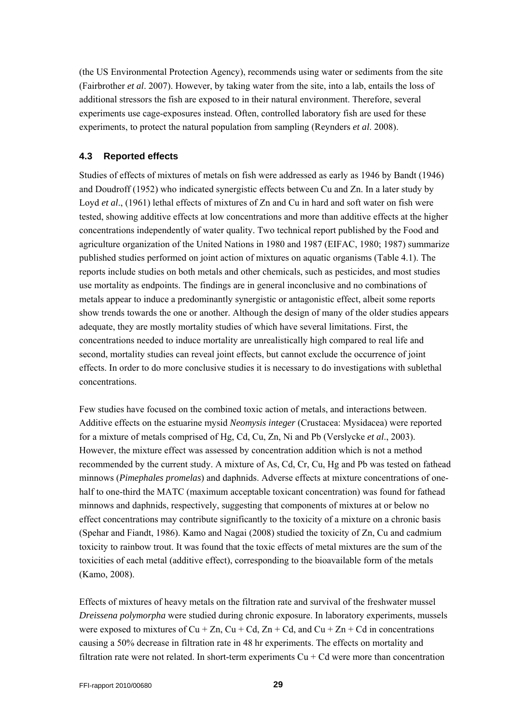(the US Environmental Protection Agency), recommends using water or sediments from the site (Fairbrother *et al*. 2007). However, by taking water from the site, into a lab, entails the loss of additional stressors the fish are exposed to in their natural environment. Therefore, several experiments use cage-exposures instead. Often, controlled laboratory fish are used for these experiments, to protect the natural population from sampling (Reynders *et al*. 2008).

#### <span id="page-28-0"></span>**4.3 Reported effects**

Studies of effects of mixtures of metals on fish were addressed as early as 1946 by Bandt (1946) and Doudroff (1952) who indicated synergistic effects between Cu and Zn. In a later study by Loyd *et al.*, (1961) lethal effects of mixtures of Zn and Cu in hard and soft water on fish were tested, showing additive effects at low concentrations and more than additive effects at the higher concentrations independently of water quality. Two technical report published by the Food and agriculture organization of the United Nations in 1980 and 1987 (EIFAC, 1980; 1987) summarize published studies performed on joint action of mixtures on aquatic organisms (Table 4.1). The reports include studies on both metals and other chemicals, such as pesticides, and most studies use mortality as endpoints. The findings are in general inconclusive and no combinations of metals appear to induce a predominantly synergistic or antagonistic effect, albeit some reports show trends towards the one or another. Although the design of many of the older studies appears adequate, they are mostly mortality studies of which have several limitations. First, the concentrations needed to induce mortality are unrealistically high compared to real life and second, mortality studies can reveal joint effects, but cannot exclude the occurrence of joint effects. In order to do more conclusive studies it is necessary to do investigations with sublethal concentrations.

Few studies have focused on the combined toxic action of metals, and interactions between. Additive effects on the estuarine mysid *Neomysis integer* (Crustacea: Mysidacea) were reported for a mixture of metals comprised of Hg, Cd, Cu, Zn, Ni and Pb (Verslycke *et al*., 2003). However, the mixture effect was assessed by concentration addition which is not a method recommended by the current study. A mixture of As, Cd, Cr, Cu, Hg and Pb was tested on fathead minnows (*Pimephales promelas*) and daphnids. Adverse effects at mixture concentrations of onehalf to one-third the MATC (maximum acceptable toxicant concentration) was found for fathead minnows and daphnids, respectively, suggesting that components of mixtures at or below no effect concentrations may contribute significantly to the toxicity of a mixture on a chronic basis (Spehar and Fiandt, 1986). Kamo and Nagai (2008) studied the toxicity of Zn, Cu and cadmium toxicity to rainbow trout. It was found that the toxic effects of metal mixtures are the sum of the toxicities of each metal (additive effect), corresponding to the bioavailable form of the metals (Kamo, 2008).

Effects of mixtures of heavy metals on the filtration rate and survival of the freshwater mussel *Dreissena polymorpha* were studied during chronic exposure. In laboratory experiments, mussels were exposed to mixtures of  $Cu + Zn$ ,  $Cu + Cd$ ,  $Zn + Cd$ , and  $Cu + Zn + Cd$  in concentrations causing a 50% decrease in filtration rate in 48 hr experiments. The effects on mortality and filtration rate were not related. In short-term experiments  $Cu + Cd$  were more than concentration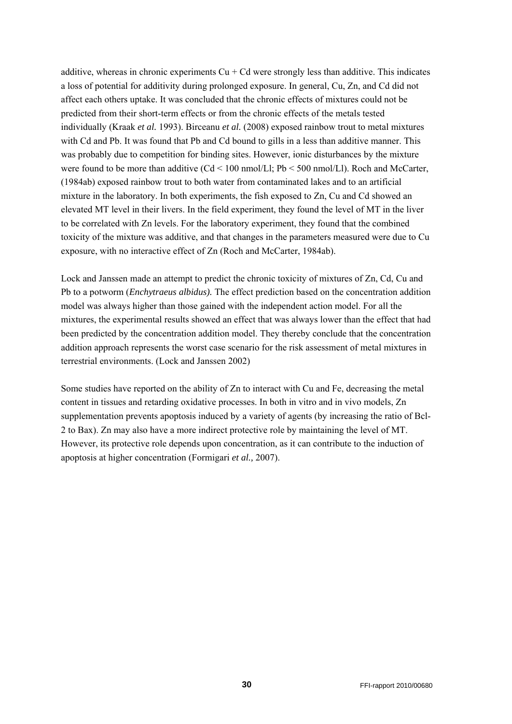additive, whereas in chronic experiments  $Cu + Cd$  were strongly less than additive. This indicates a loss of potential for additivity during prolonged exposure. In general, Cu, Zn, and Cd did not affect each others uptake. It was concluded that the chronic effects of mixtures could not be predicted from their short-term effects or from the chronic effects of the metals tested individually (Kraak *et al.* 1993). Birceanu *et al.* (2008) exposed rainbow trout to metal mixtures with Cd and Pb. It was found that Pb and Cd bound to gills in a less than additive manner. This was probably due to competition for binding sites. However, ionic disturbances by the mixture were found to be more than additive (Cd < 100 nmol/Ll; Pb < 500 nmol/Ll). Roch and McCarter, (1984ab) exposed rainbow trout to both water from contaminated lakes and to an artificial mixture in the laboratory. In both experiments, the fish exposed to Zn, Cu and Cd showed an elevated MT level in their livers. In the field experiment, they found the level of MT in the liver to be correlated with Zn levels. For the laboratory experiment, they found that the combined toxicity of the mixture was additive, and that changes in the parameters measured were due to Cu exposure, with no interactive effect of Zn (Roch and McCarter, 1984ab).

Lock and Janssen made an attempt to predict the chronic toxicity of mixtures of Zn, Cd, Cu and Pb to a potworm (*Enchytraeus albidus).* The effect prediction based on the concentration addition model was always higher than those gained with the independent action model. For all the mixtures, the experimental results showed an effect that was always lower than the effect that had been predicted by the concentration addition model. They thereby conclude that the concentration addition approach represents the worst case scenario for the risk assessment of metal mixtures in terrestrial environments. (Lock and Janssen 2002)

Some studies have reported on the ability of Zn to interact with Cu and Fe, decreasing the metal content in tissues and retarding oxidative processes. In both in vitro and in vivo models, Zn supplementation prevents apoptosis induced by a variety of agents (by increasing the ratio of Bcl-2 to Bax). Zn may also have a more indirect protective role by maintaining the level of MT. However, its protective role depends upon concentration, as it can contribute to the induction of apoptosis at higher concentration (Formigari *et al.,* 2007).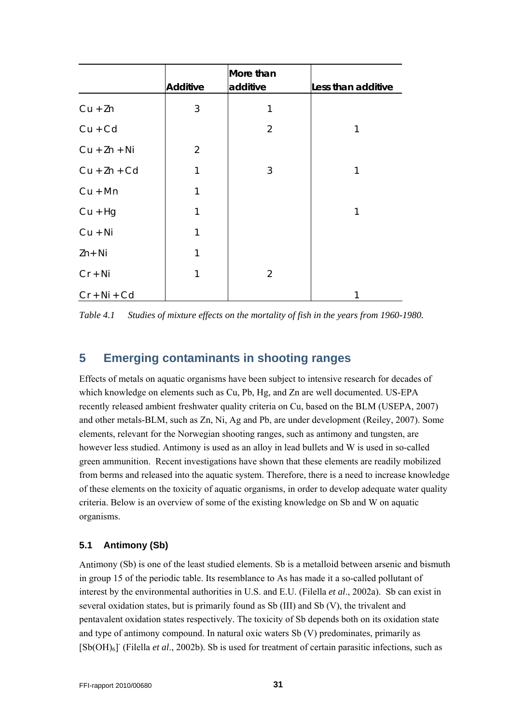|                |                 | More than      |                    |
|----------------|-----------------|----------------|--------------------|
|                | <b>Additive</b> | additive       | Less than additive |
| $Cu + Zn$      | 3               | 1              |                    |
| $Cu + Cd$      |                 | $\overline{2}$ | 1                  |
| $Cu + Zn + Ni$ | $\overline{2}$  |                |                    |
| $Cu + Zn + Cd$ | 1               | 3              | 1                  |
| $Cu + Mn$      | 1               |                |                    |
| $Cu + Hg$      | 1               |                | 1                  |
| $Cu + Ni$      | 1               |                |                    |
| $Zn+Ni$        | 1               |                |                    |
| $Cr + Ni$      | 1               | $\overline{2}$ |                    |
| $Cr + Ni + Cd$ |                 |                |                    |

*Table 4.1 Studies of mixture effects on the mortality of fish in the years from 1960-1980.* 

### <span id="page-30-0"></span>**5 Emerging contaminants in shooting ranges**

Effects of metals on aquatic organisms have been subject to intensive research for decades of which knowledge on elements such as Cu, Pb, Hg, and Zn are well documented. US-EPA recently released ambient freshwater quality criteria on Cu, based on the BLM (USEPA, 2007) and other metals-BLM, such as Zn, Ni, Ag and Pb, are under development (Reiley, 2007). Some elements, relevant for the Norwegian shooting ranges, such as antimony and tungsten, are however less studied. Antimony is used as an alloy in lead bullets and W is used in so-called green ammunition. Recent investigations have shown that these elements are readily mobilized from berms and released into the aquatic system. Therefore, there is a need to increase knowledge of these elements on the toxicity of aquatic organisms, in order to develop adequate water quality criteria. Below is an overview of some of the existing knowledge on Sb and W on aquatic organisms.

### <span id="page-30-1"></span>**5.1 Antimony (Sb)**

Antimony (Sb) is one of the least studied elements. Sb is a metalloid between arsenic and bismuth in group 15 of the periodic table. Its resemblance to As has made it a so-called pollutant of interest by the environmental authorities in U.S. and E.U. (Filella *et al*., 2002a). Sb can exist in several oxidation states, but is primarily found as Sb (III) and Sb (V), the trivalent and pentavalent oxidation states respectively. The toxicity of Sb depends both on its oxidation state and type of antimony compound. In natural oxic waters Sb (V) predominates, primarily as [Sb(OH)<sub>6</sub>] (Filella *et al.*, 2002b). Sb is used for treatment of certain parasitic infections, such as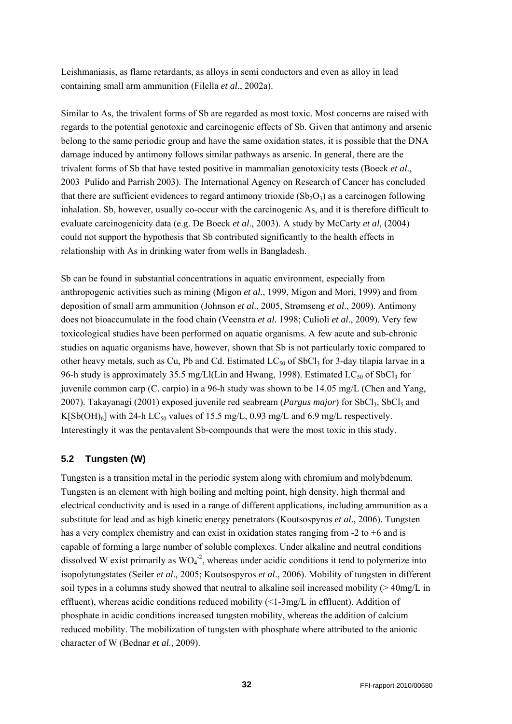Leishmaniasis, as flame retardants, as alloys in semi conductors and even as alloy in lead containing small arm ammunition (Filella *et al*., 2002a).

Similar to As, the trivalent forms of Sb are regarded as most toxic. Most concerns are raised with regards to the potential genotoxic and carcinogenic effects of Sb. Given that antimony and arsenic belong to the same periodic group and have the same oxidation states, it is possible that the DNA damage induced by antimony follows similar pathways as arsenic. In general, there are the trivalent forms of Sb that have tested positive in mammalian genotoxicity tests (Boeck *et al*., 2003 Pulido and Parrish 2003). The International Agency on Research of Cancer has concluded that there are sufficient evidences to regard antimony trioxide  $(Sb<sub>2</sub>O<sub>3</sub>)$  as a carcinogen following inhalation. Sb, however, usually co-occur with the carcinogenic As, and it is therefore difficult to evaluate carcinogenicity data (e.g. De Boeck *et al*., 2003). A study by McCarty *et al*, (2004) could not support the hypothesis that Sb contributed significantly to the health effects in relationship with As in drinking water from wells in Bangladesh.

Sb can be found in substantial concentrations in aquatic environment, especially from anthropogenic activities such as mining (Migon *et al*., 1999, Migon and Mori, 1999) and from deposition of small arm ammunition (Johnson *et al*., 2005, Strømseng *et al*., 2009). Antimony does not bioaccumulate in the food chain (Veenstra *et al.* 1998; Culioli *et al*., 2009). Very few toxicological studies have been performed on aquatic organisms. A few acute and sub-chronic studies on aquatic organisms have, however, shown that Sb is not particularly toxic compared to other heavy metals, such as Cu, Pb and Cd. Estimated  $LC_{50}$  of SbCl<sub>3</sub> for 3-day tilapia larvae in a 96-h study is approximately 35.5 mg/Ll(Lin and Hwang, 1998). Estimated  $LC_{50}$  of SbCl<sub>3</sub> for juvenile common carp (C. carpio) in a 96-h study was shown to be 14.05 mg/L (Chen and Yang, 2007). Takayanagi (2001) exposed juvenile red seabream (*Pargus major*) for SbCl3, SbCl5 and K[Sb(OH)<sub>6</sub>] with 24-h LC<sub>50</sub> values of 15.5 mg/L, 0.93 mg/L and 6.9 mg/L respectively. Interestingly it was the pentavalent Sb-compounds that were the most toxic in this study.

### <span id="page-31-0"></span>**5.2 Tungsten (W)**

Tungsten is a transition metal in the periodic system along with chromium and molybdenum. Tungsten is an element with high boiling and melting point, high density, high thermal and electrical conductivity and is used in a range of different applications, including ammunition as a substitute for lead and as high kinetic energy penetrators (Koutsospyros *et al*., 2006). Tungsten has a very complex chemistry and can exist in oxidation states ranging from  $-2$  to  $+6$  and is capable of forming a large number of soluble complexes. Under alkaline and neutral conditions dissolved W exist primarily as  $WO_4^2$ , whereas under acidic conditions it tend to polymerize into isopolytungstates (Seiler *et al*., 2005; Koutsospyros *et al*., 2006). Mobility of tungsten in different soil types in a columns study showed that neutral to alkaline soil increased mobility  $(>40mg/L)$  in effluent), whereas acidic conditions reduced mobility (<1-3mg/L in effluent). Addition of phosphate in acidic conditions increased tungsten mobility, whereas the addition of calcium reduced mobility. The mobilization of tungsten with phosphate where attributed to the anionic character of W (Bednar *et al*., 2009).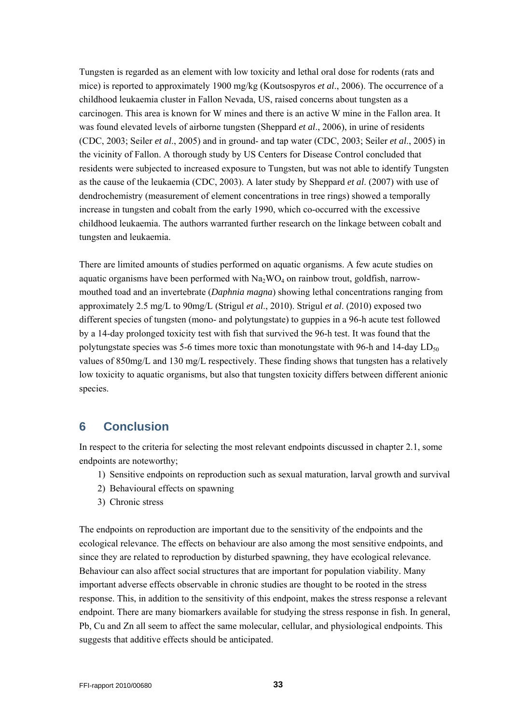Tungsten is regarded as an element with low toxicity and lethal oral dose for rodents (rats and mice) is reported to approximately 1900 mg/kg (Koutsospyros *et al*., 2006). The occurrence of a childhood leukaemia cluster in Fallon Nevada, US, raised concerns about tungsten as a carcinogen. This area is known for W mines and there is an active W mine in the Fallon area. It was found elevated levels of airborne tungsten (Sheppard *et al*., 2006), in urine of residents (CDC, 2003; Seiler *et al*., 2005) and in ground- and tap water (CDC, 2003; Seiler *et al*., 2005) in the vicinity of Fallon. A thorough study by US Centers for Disease Control concluded that residents were subjected to increased exposure to Tungsten, but was not able to identify Tungsten as the cause of the leukaemia (CDC, 2003). A later study by Sheppard *et al*. (2007) with use of dendrochemistry (measurement of element concentrations in tree rings) showed a temporally increase in tungsten and cobalt from the early 1990, which co-occurred with the excessive childhood leukaemia. The authors warranted further research on the linkage between cobalt and tungsten and leukaemia.

There are limited amounts of studies performed on aquatic organisms. A few acute studies on aquatic organisms have been performed with  $Na<sub>2</sub>WO<sub>4</sub>$  on rainbow trout, goldfish, narrowmouthed toad and an invertebrate (*Daphnia magna*) showing lethal concentrations ranging from approximately 2.5 mg/L to 90mg/L (Strigul *et al*., 2010). Strigul *et al*. (2010) exposed two different species of tungsten (mono- and polytungstate) to guppies in a 96-h acute test followed by a 14-day prolonged toxicity test with fish that survived the 96-h test. It was found that the polytungstate species was 5-6 times more toxic than monotungstate with 96-h and 14-day  $LD_{50}$ values of 850mg/L and 130 mg/L respectively. These finding shows that tungsten has a relatively low toxicity to aquatic organisms, but also that tungsten toxicity differs between different anionic species.

### <span id="page-32-0"></span>**6 Conclusion**

In respect to the criteria for selecting the most relevant endpoints discussed in chapter 2.1, some endpoints are noteworthy;

- 1) Sensitive endpoints on reproduction such as sexual maturation, larval growth and survival
- 2) Behavioural effects on spawning
- 3) Chronic stress

The endpoints on reproduction are important due to the sensitivity of the endpoints and the ecological relevance. The effects on behaviour are also among the most sensitive endpoints, and since they are related to reproduction by disturbed spawning, they have ecological relevance. Behaviour can also affect social structures that are important for population viability. Many important adverse effects observable in chronic studies are thought to be rooted in the stress response. This, in addition to the sensitivity of this endpoint, makes the stress response a relevant endpoint. There are many biomarkers available for studying the stress response in fish. In general, Pb, Cu and Zn all seem to affect the same molecular, cellular, and physiological endpoints. This suggests that additive effects should be anticipated.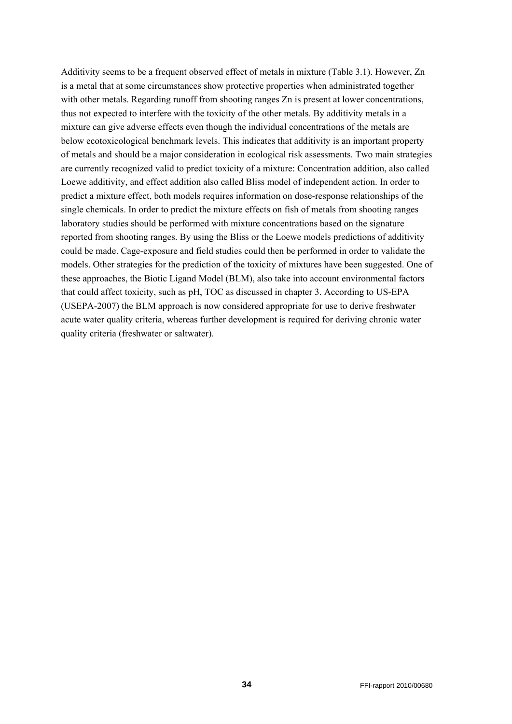Additivity seems to be a frequent observed effect of metals in mixture (Table 3.1). However, Zn is a metal that at some circumstances show protective properties when administrated together with other metals. Regarding runoff from shooting ranges Zn is present at lower concentrations, thus not expected to interfere with the toxicity of the other metals. By additivity metals in a mixture can give adverse effects even though the individual concentrations of the metals are below ecotoxicological benchmark levels. This indicates that additivity is an important property of metals and should be a major consideration in ecological risk assessments. Two main strategies are currently recognized valid to predict toxicity of a mixture: Concentration addition, also called Loewe additivity, and effect addition also called Bliss model of independent action. In order to predict a mixture effect, both models requires information on dose-response relationships of the single chemicals. In order to predict the mixture effects on fish of metals from shooting ranges laboratory studies should be performed with mixture concentrations based on the signature reported from shooting ranges. By using the Bliss or the Loewe models predictions of additivity could be made. Cage-exposure and field studies could then be performed in order to validate the models. Other strategies for the prediction of the toxicity of mixtures have been suggested. One of these approaches, the Biotic Ligand Model (BLM), also take into account environmental factors that could affect toxicity, such as pH, TOC as discussed in chapter 3. According to US-EPA (USEPA-2007) the BLM approach is now considered appropriate for use to derive freshwater acute water quality criteria, whereas further development is required for deriving chronic water quality criteria (freshwater or saltwater).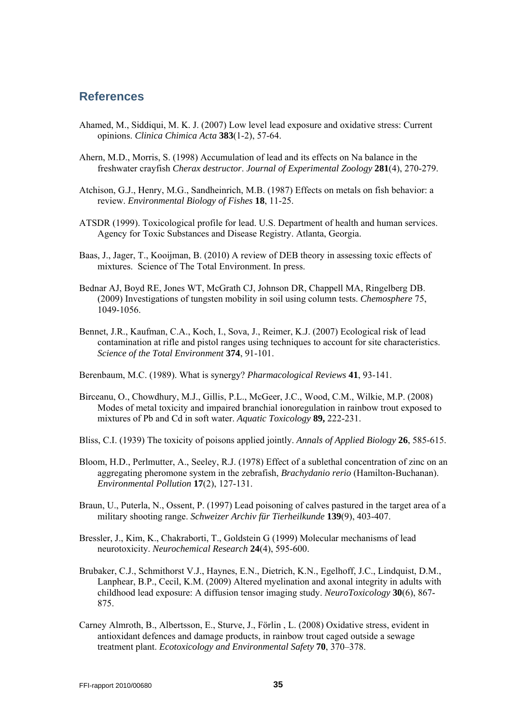### <span id="page-34-0"></span>**References**

- Ahamed, M., Siddiqui, M. K. J. (2007) Low level lead exposure and oxidative stress: Current opinions. *Clinica Chimica Acta* **383**(1-2), 57-64.
- Ahern, M.D., Morris, S. (1998) Accumulation of lead and its effects on Na balance in the freshwater crayfish *Cherax destructor*. *Journal of Experimental Zoology* **281**(4), 270-279.
- Atchison, G.J., Henry, M.G., Sandheinrich, M.B. (1987) Effects on metals on fish behavior: a review. *Environmental Biology of Fishes* **18**, 11-25.
- ATSDR (1999). Toxicological profile for lead. U.S. Department of health and human services. Agency for Toxic Substances and Disease Registry. Atlanta, Georgia.
- Baas, J., Jager, T., Kooijman, B. (2010) A review of DEB theory in assessing toxic effects of mixtures. Science of The Total Environment. In press.
- Bednar AJ, Boyd RE, Jones WT, McGrath CJ, Johnson DR, Chappell MA, Ringelberg DB. (2009) Investigations of tungsten mobility in soil using column tests. *Chemosphere* 75, 1049-1056.
- Bennet, J.R., Kaufman, C.A., Koch, I., Sova, J., Reimer, K.J. (2007) Ecological risk of lead contamination at rifle and pistol ranges using techniques to account for site characteristics. *Science of the Total Environment* **374**, 91-101.
- Berenbaum, M.C. (1989). What is synergy? *Pharmacological Reviews* **41**, 93-141.
- Birceanu, O., Chowdhury, M.J., Gillis, P.L., McGeer, J.C., Wood, C.M., Wilkie, M.P. (2008) Modes of metal toxicity and impaired branchial ionoregulation in rainbow trout exposed to mixtures of Pb and Cd in soft water. *Aquatic Toxicology* **89,** 222-231.
- Bliss, C.I. (1939) The toxicity of poisons applied jointly. *Annals of Applied Biology* **26**, 585-615.
- Bloom, H.D., Perlmutter, A., Seeley, R.J. (1978) Effect of a sublethal concentration of zinc on an aggregating pheromone system in the zebrafish, *Brachydanio rerio* (Hamilton-Buchanan). *Environmental Pollution* **17**(2), 127-131.
- Braun, U., Puterla, N., Ossent, P. (1997) Lead poisoning of calves pastured in the target area of a military shooting range. *Schweizer Archiv für Tierheilkunde* **139**(9), 403-407.
- Bressler, J., Kim, K., Chakraborti, T., Goldstein G (1999) Molecular mechanisms of lead neurotoxicity. *Neurochemical Research* **24**(4), 595-600.
- Brubaker, C.J., Schmithorst V.J., Haynes, E.N., Dietrich, K.N., Egelhoff, J.C., Lindquist, D.M., Lanphear, B.P., Cecil, K.M. (2009) Altered myelination and axonal integrity in adults with childhood lead exposure: A diffusion tensor imaging study. *NeuroToxicology* **30**(6), 867- 875.
- Carney Almroth, B., Albertsson, E., Sturve, J., Förlin , L. (2008) Oxidative stress, evident in antioxidant defences and damage products, in rainbow trout caged outside a sewage treatment plant. *Ecotoxicology and Environmental Safety* **70**, 370–378.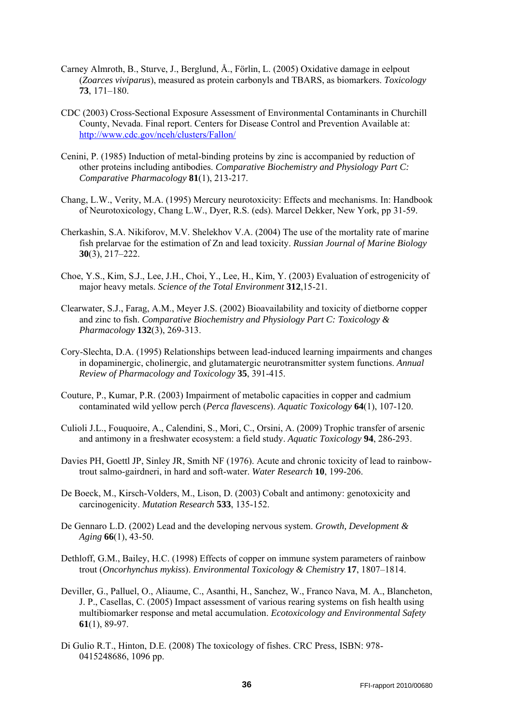- Carney Almroth, B., Sturve, J., Berglund, Å., Förlin, L. (2005) Oxidative damage in eelpout (*Zoarces viviparus*), measured as protein carbonyls and TBARS, as biomarkers. *Toxicology* **73**, 171–180.
- CDC (2003) Cross-Sectional Exposure Assessment of Environmental Contaminants in Churchill County, Nevada. Final report. Centers for Disease Control and Prevention Available at: <http://www.cdc.gov/nceh/clusters/Fallon/>
- Cenini, P. (1985) Induction of metal-binding proteins by zinc is accompanied by reduction of other proteins including antibodies. *Comparative Biochemistry and Physiology Part C: Comparative Pharmacology* **81**(1), 213-217.
- Chang, L.W., Verity, M.A. (1995) Mercury neurotoxicity: Effects and mechanisms. In: Handbook of Neurotoxicology, Chang L.W., Dyer, R.S. (eds). Marcel Dekker, New York, pp 31-59.
- Cherkashin, S.A. Nikiforov, M.V. Shelekhov V.A. (2004) The use of the mortality rate of marine fish prelarvae for the estimation of Zn and lead toxicity. *Russian Journal of Marine Biology* **30**(3), 217–222.
- Choe, Y.S., Kim, S.J., Lee, J.H., Choi, Y., Lee, H., Kim, Y. (2003) Evaluation of estrogenicity of major heavy metals. *Science of the Total Environment* **312**,15-21.
- Clearwater, S.J., Farag, A.M., Meyer J.S. (2002) Bioavailability and toxicity of dietborne copper and zinc to fish. *Comparative Biochemistry and Physiology Part C: Toxicology & Pharmacology* **132**(3), 269-313.
- Cory-Slechta, D.A. (1995) Relationships between lead-induced learning impairments and changes in dopaminergic, cholinergic, and glutamatergic neurotransmitter system functions. *Annual Review of Pharmacology and Toxicology* **35**, 391-415.
- Couture, P., Kumar, P.R. (2003) Impairment of metabolic capacities in copper and cadmium contaminated wild yellow perch (*Perca flavescens*). *Aquatic Toxicology* **64**(1), 107-120.
- Culioli J.L., Fouquoire, A., Calendini, S., Mori, C., Orsini, A. (2009) Trophic transfer of arsenic and antimony in a freshwater ecosystem: a field study. *Aquatic Toxicology* **94**, 286-293.
- Davies PH, Goettl JP, Sinley JR, Smith NF (1976). Acute and chronic toxicity of lead to rainbowtrout salmo-gairdneri, in hard and soft-water. *Water Research* **10**, 199-206.
- De Boeck, M., Kirsch-Volders, M., Lison, D. (2003) Cobalt and antimony: genotoxicity and carcinogenicity. *Mutation Research* **533**, 135-152.
- De Gennaro L.D. (2002) Lead and the developing nervous system. *Growth, Development & Aging* **66**(1), 43-50.
- Dethloff, G.M., Bailey, H.C. (1998) Effects of copper on immune system parameters of rainbow trout (*Oncorhynchus mykiss*). *Environmental Toxicology & Chemistry* **17**, 1807–1814.
- Deviller, G., Palluel, O., Aliaume, C., Asanthi, H., Sanchez, W., Franco Nava, M. A., Blancheton, J. P., Casellas, C. (2005) Impact assessment of various rearing systems on fish health using multibiomarker response and metal accumulation. *Ecotoxicology and Environmental Safety* **61**(1), 89-97.
- Di Gulio R.T., Hinton, D.E. (2008) The toxicology of fishes. CRC Press, ISBN: 978- 0415248686, 1096 pp.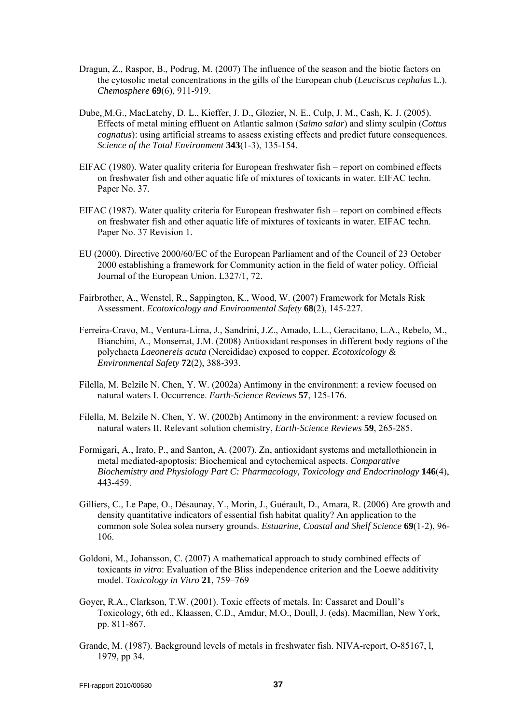- Dragun, Z., Raspor, B., Podrug, M. (2007) The influence of the season and the biotic factors on the cytosolic metal concentrations in the gills of the European chub (*Leuciscus cephalus* L.). *Chemosphere* **69**(6), 911-919.
- Dube, M.G., MacLatchy, D. L., Kieffer, J. D., Glozier, N. E., Culp, J. M., Cash, K. J. (2005). Effects of metal mining effluent on Atlantic salmon (*Salmo salar*) and slimy sculpin (*Cottus cognatus*): using artificial streams to assess existing effects and predict future consequences. *Science of the Total Environment* **343**(1-3), 135-154.
- EIFAC (1980). Water quality criteria for European freshwater fish report on combined effects on freshwater fish and other aquatic life of mixtures of toxicants in water. EIFAC techn. Paper No. 37.
- EIFAC (1987). Water quality criteria for European freshwater fish report on combined effects on freshwater fish and other aquatic life of mixtures of toxicants in water. EIFAC techn. Paper No. 37 Revision 1.
- EU (2000). Directive 2000/60/EC of the European Parliament and of the Council of 23 October 2000 establishing a framework for Community action in the field of water policy. Official Journal of the European Union. L327/1, 72.
- Fairbrother, A., Wenstel, R., Sappington, K., Wood, W. (2007) Framework for Metals Risk Assessment. *Ecotoxicology and Environmental Safety* **68**(2), 145-227.
- Ferreira-Cravo, M., Ventura-Lima, J., Sandrini, J.Z., Amado, L.L., Geracitano, L.A., Rebelo, M., Bianchini, A., Monserrat, J.M. (2008) Antioxidant responses in different body regions of the polychaeta *Laeonereis acuta* (Nereididae) exposed to copper. *Ecotoxicology & Environmental Safety* **72**(2), 388-393.
- Filella, M. Belzile N. Chen, Y. W. (2002a) Antimony in the environment: a review focused on natural waters I. Occurrence. *Earth-Science Reviews* **57**, 125-176.
- Filella, M. Belzile N. Chen, Y. W. (2002b) Antimony in the environment: a review focused on natural waters II. Relevant solution chemistry, *Earth-Science Reviews* **59**, 265-285.
- Formigari, A., Irato, P., and Santon, A. (2007). Zn, antioxidant systems and metallothionein in metal mediated-apoptosis: Biochemical and cytochemical aspects. *Comparative Biochemistry and Physiology Part C: Pharmacology, Toxicology and Endocrinology* **146**(4), 443-459.
- Gilliers, C., Le Pape, O., Désaunay, Y., Morin, J., Guérault, D., Amara, R. (2006) Are growth and density quantitative indicators of essential fish habitat quality? An application to the common sole Solea solea nursery grounds. *Estuarine, Coastal and Shelf Science* **69**(1-2), 96- 106.
- Goldoni, M., Johansson, C. (2007) A mathematical approach to study combined effects of toxicants *in vitro*: Evaluation of the Bliss independence criterion and the Loewe additivity model. *Toxicology in Vitro* **21**, 759–769
- Goyer, R.A., Clarkson, T.W. (2001). Toxic effects of metals. In: Cassaret and Doull's Toxicology, 6th ed., Klaassen, C.D., Amdur, M.O., Doull, J. (eds). Macmillan, New York, pp. 811-867.
- Grande, M. (1987). Background levels of metals in freshwater fish. NIVA-report, O-85167, l, 1979, pp 34.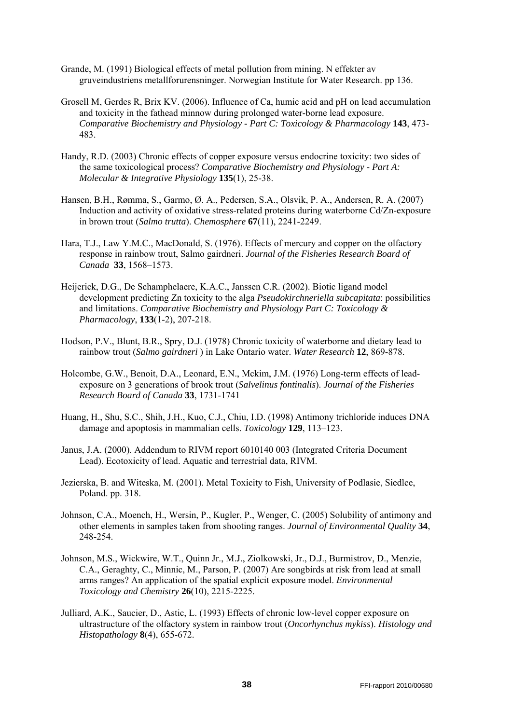- Grande, M. (1991) Biological effects of metal pollution from mining. N effekter av gruveindustriens metallforurensninger. Norwegian Institute for Water Research. pp 136.
- Grosell M, Gerdes R, Brix KV. (2006). Influence of Ca, humic acid and pH on lead accumulation and toxicity in the fathead minnow during prolonged water-borne lead exposure. *Comparative Biochemistry and Physiology - Part C: Toxicology & Pharmacology* **143**, 473- 483.
- Handy, R.D. (2003) Chronic effects of copper exposure versus endocrine toxicity: two sides of the same toxicological process? *Comparative Biochemistry and Physiology - Part A: Molecular & Integrative Physiology* **135**(1), 25-38.
- Hansen, B.H., Rømma, S., Garmo, Ø. A., Pedersen, S.A., Olsvik, P. A., Andersen, R. A. (2007) Induction and activity of oxidative stress-related proteins during waterborne Cd/Zn-exposure in brown trout (*Salmo trutta*). *Chemosphere* **67**(11), 2241-2249.
- Hara, T.J., Law Y.M.C., MacDonald, S. (1976). Effects of mercury and copper on the olfactory response in rainbow trout, Salmo gairdneri. *Journal of the Fisheries Research Board of Canada* **33**, 1568–1573.
- Heijerick, D.G., De Schamphelaere, K.A.C., Janssen C.R. (2002). Biotic ligand model development predicting Zn toxicity to the alga *Pseudokirchneriella subcapitata*: possibilities and limitations. *Comparative Biochemistry and Physiology Part C: Toxicology & Pharmacology*, **133**(1-2), 207-218.
- Hodson, P.V., Blunt, B.R., Spry, D.J. (1978) Chronic toxicity of waterborne and dietary lead to rainbow trout (*Salmo gairdneri* ) in Lake Ontario water. *Water Research* **12**, 869-878.
- Holcombe, G.W., Benoit, D.A., Leonard, E.N., Mckim, J.M. (1976) Long-term effects of leadexposure on 3 generations of brook trout (*Salvelinus fontinalis*). *Journal of the Fisheries Research Board of Canada* **33**, 1731-1741
- Huang, H., Shu, S.C., Shih, J.H., Kuo, C.J., Chiu, I.D. (1998) Antimony trichloride induces DNA damage and apoptosis in mammalian cells. *Toxicology* **129**, 113–123.
- Janus, J.A. (2000). Addendum to RIVM report 6010140 003 (Integrated Criteria Document Lead). Ecotoxicity of lead. Aquatic and terrestrial data, RIVM.
- Jezierska, B. and Witeska, M. (2001). Metal Toxicity to Fish, University of Podlasie, Siedlce, Poland. pp. 318.
- Johnson, C.A., Moench, H., Wersin, P., Kugler, P., Wenger, C. (2005) Solubility of antimony and other elements in samples taken from shooting ranges. *Journal of Environmental Quality* **34**, 248-254.
- Johnson, M.S., Wickwire, W.T., Quinn Jr., M.J., Ziolkowski, Jr., D.J., Burmistrov, D., Menzie, C.A., Geraghty, C., Minnic, M., Parson, P. (2007) Are songbirds at risk from lead at small arms ranges? An application of the spatial explicit exposure model. *Environmental Toxicology and Chemistry* **26**(10), 2215-2225.
- Julliard, A.K., Saucier, D., Astic, L. (1993) Effects of chronic low-level copper exposure on ultrastructure of the olfactory system in rainbow trout (*Oncorhynchus mykiss*). *Histology and Histopathology* **8**(4), 655-672.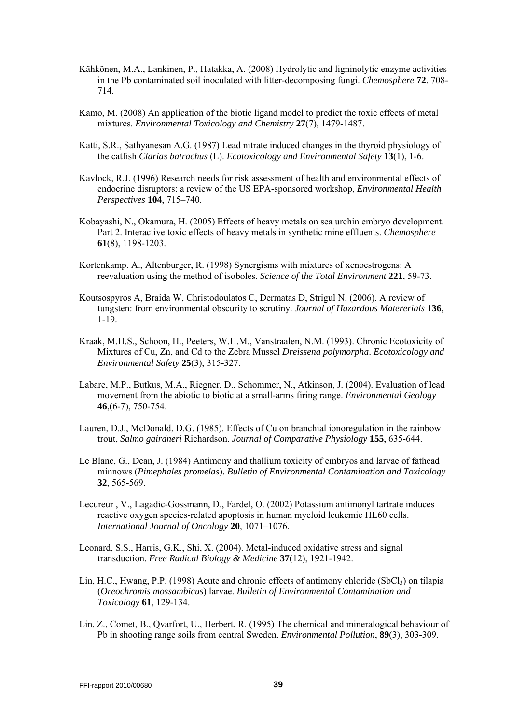- Kähkönen, M.A., Lankinen, P., Hatakka, A. (2008) Hydrolytic and ligninolytic enzyme activities in the Pb contaminated soil inoculated with litter-decomposing fungi. *Chemosphere* **72**, 708- 714.
- Kamo, M. (2008) An application of the biotic ligand model to predict the toxic effects of metal mixtures. *Environmental Toxicology and Chemistry* **27**(7), 1479-1487.
- Katti, S.R., Sathyanesan A.G. (1987) Lead nitrate induced changes in the thyroid physiology of the catfish *Clarias batrachus* (L). *Ecotoxicology and Environmental Safety* **13**(1), 1-6.
- Kavlock, R.J. (1996) Research needs for risk assessment of health and environmental effects of endocrine disruptors: a review of the US EPA-sponsored workshop, *Environmental Health Perspectives* **104**, 715–740.
- Kobayashi, N., Okamura, H. (2005) Effects of heavy metals on sea urchin embryo development. Part 2. Interactive toxic effects of heavy metals in synthetic mine effluents. *Chemosphere*  **61**(8), 1198-1203.
- Kortenkamp. A., Altenburger, R. (1998) Synergisms with mixtures of xenoestrogens: A reevaluation using the method of isoboles. *Science of the Total Environment* **221**, 59-73.
- Koutsospyros A, Braida W, Christodoulatos C, Dermatas D, Strigul N. (2006). A review of tungsten: from environmental obscurity to scrutiny. *Journal of Hazardous Matererials* **136**, 1-19.
- Kraak, M.H.S., Schoon, H., Peeters, W.H.M., Vanstraalen, N.M. (1993). Chronic Ecotoxicity of Mixtures of Cu, Zn, and Cd to the Zebra Mussel *Dreissena polymorpha*. *Ecotoxicology and Environmental Safety* **25**(3), 315-327.
- Labare, M.P., Butkus, M.A., Riegner, D., Schommer, N., Atkinson, J. (2004). Evaluation of lead movement from the abiotic to biotic at a small-arms firing range. *Environmental Geology* **46**,(6-7), 750-754.
- Lauren, D.J., McDonald, D.G. (1985). Effects of Cu on branchial ionoregulation in the rainbow trout, *Salmo gairdneri* Richardson. *Journal of Comparative Physiology* **155**, 635-644.
- Le Blanc, G., Dean, J. (1984) Antimony and thallium toxicity of embryos and larvae of fathead minnows (*Pimephales promelas*). *Bulletin of Environmental Contamination and Toxicology* **32**, 565-569.
- Lecureur , V., Lagadic-Gossmann, D., Fardel, O. (2002) Potassium antimonyl tartrate induces reactive oxygen species-related apoptosis in human myeloid leukemic HL60 cells. *International Journal of Oncology* **20**, 1071–1076.
- Leonard, S.S., Harris, G.K., Shi, X. (2004). Metal-induced oxidative stress and signal transduction. *Free Radical Biology & Medicine* **37**(12), 1921-1942.
- Lin, H.C., Hwang, P.P. (1998) Acute and chronic effects of antimony chloride (SbCl<sub>3</sub>) on tilapia (*Oreochromis mossambicus*) larvae. *Bulletin of Environmental Contamination and Toxicology* **61**, 129-134.
- Lin, Z., Comet, B., Qvarfort, U., Herbert, R. (1995) The chemical and mineralogical behaviour of Pb in shooting range soils from central Sweden. *Environmental Pollution*, **89**(3), 303-309.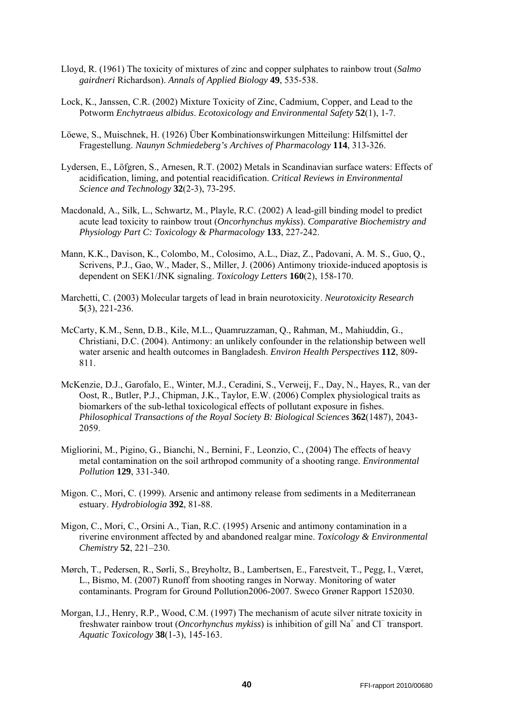- Lloyd, R. (1961) The toxicity of mixtures of zinc and copper sulphates to rainbow trout (*Salmo gairdneri* Richardson). *Annals of Applied Biology* **49**, 535-538.
- Lock, K., Janssen, C.R. (2002) Mixture Toxicity of Zinc, Cadmium, Copper, and Lead to the Potworm *Enchytraeus albidus*. *Ecotoxicology and Environmental Safety* **52**(1), 1-7.
- Löewe, S., Muischnek, H. (1926) Über Kombinationswirkungen Mitteilung: Hilfsmittel der Fragestellung. *Naunyn Schmiedeberg's Archives of Pharmacology* **114**, 313-326.
- Lydersen, E., Löfgren, S., Arnesen, R.T. (2002) Metals in Scandinavian surface waters: Effects of acidification, liming, and potential reacidification. *Critical Reviews in Environmental Science and Technology* **32**(2-3), 73-295*.*
- Macdonald, A., Silk, L., Schwartz, M., Playle, R.C. (2002) A lead-gill binding model to predict acute lead toxicity to rainbow trout (*Oncorhynchus mykiss*). *Comparative Biochemistry and Physiology Part C: Toxicology & Pharmacology* **133**, 227-242.
- Mann, K.K., Davison, K., Colombo, M., Colosimo, A.L., Diaz, Z., Padovani, A. M. S., Guo, Q., Scrivens, P.J., Gao, W., Mader, S., Miller, J. (2006) Antimony trioxide-induced apoptosis is dependent on SEK1/JNK signaling. *Toxicology Letters* **160**(2), 158-170.
- Marchetti, C. (2003) Molecular targets of lead in brain neurotoxicity. *Neurotoxicity Research* **5**(3), 221-236.
- McCarty, K.M., Senn, D.B., Kile, M.L., Quamruzzaman, Q., Rahman, M., Mahiuddin, G., Christiani, D.C. (2004). Antimony: an unlikely confounder in the relationship between well water arsenic and health outcomes in Bangladesh. *Environ Health Perspectives* **112**, 809- 811.
- McKenzie, D.J., Garofalo, E., Winter, M.J., Ceradini, S., Verweij, F., Day, N., Hayes, R., van der Oost, R., Butler, P.J., Chipman, J.K., Taylor, E.W. (2006) Complex physiological traits as biomarkers of the sub-lethal toxicological effects of pollutant exposure in fishes. *Philosophical Transactions of the Royal Society B: Biological Sciences* **362**(1487), 2043- 2059.
- Migliorini, M., Pigino, G., Bianchi, N., Bernini, F., Leonzio, C., (2004) The effects of heavy metal contamination on the soil arthropod community of a shooting range. *Environmental Pollution* **129**, 331-340.
- Migon. C., Mori, C. (1999). Arsenic and antimony release from sediments in a Mediterranean estuary. *Hydrobiologia* **392**, 81-88.
- Migon, C., Mori, C., Orsini A., Tian, R.C. (1995) Arsenic and antimony contamination in a riverine environment affected by and abandoned realgar mine. *Toxicology & Environmental Chemistry* **52**, 221–230.
- Mørch, T., Pedersen, R., Sørli, S., Breyholtz, B., Lambertsen, E., Farestveit, T., Pegg, I., Været, L., Bismo, M. (2007) Runoff from shooting ranges in Norway. Monitoring of water contaminants. Program for Ground Pollution2006-2007. Sweco Grøner Rapport 152030.
- Morgan, I.J., Henry, R.P., Wood, C.M. (1997) The mechanism of acute silver nitrate toxicity in freshwater rainbow trout (*Oncorhynchus mykiss*) is inhibition of gill Na+ and Cl<sup>−</sup> transport. *Aquatic Toxicology* **38**(1-3), 145-163.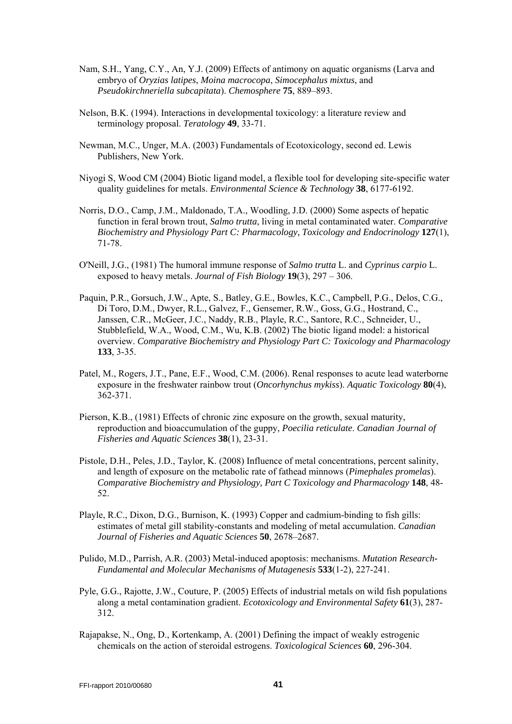- Nam, S.H., Yang, C.Y., An, Y.J. (2009) Effects of antimony on aquatic organisms (Larva and embryo of *Oryzias latipes*, *Moina macrocopa*, *Simocephalus mixtus*, and *Pseudokirchneriella subcapitata*). *Chemosphere* **75**, 889–893.
- Nelson, B.K. (1994). Interactions in developmental toxicology: a literature review and terminology proposal. *Teratology* **49**, 33-71.
- Newman, M.C., Unger, M.A. (2003) Fundamentals of Ecotoxicology, second ed. Lewis Publishers, New York.
- Niyogi S, Wood CM (2004) Biotic ligand model, a flexible tool for developing site-specific water quality guidelines for metals. *Environmental Science & Technology* **38**, 6177-6192.
- Norris, D.O., Camp, J.M., Maldonado, T.A., Woodling, J.D. (2000) Some aspects of hepatic function in feral brown trout, *Salmo trutta*, living in metal contaminated water. *Comparative Biochemistry and Physiology Part C: Pharmacology, Toxicology and Endocrinology* **127**(1), 71-78.
- O'Neill, J.G., (1981) The humoral immune response of *Salmo trutta* L. and *Cyprinus carpio* L. exposed to heavy metals. *Journal of Fish Biology* **19**(3), 297 – 306.
- Paquin, P.R., Gorsuch, J.W., Apte, S., Batley, G.E., Bowles, K.C., Campbell, P.G., Delos, C.G., Di Toro, D.M., Dwyer, R.L., Galvez, F., Gensemer, R.W., Goss, G.G., Hostrand, C., Janssen, C.R., McGeer, J.C., Naddy, R.B., Playle, R.C., Santore, R.C., Schneider, U., Stubblefield, W.A., Wood, C.M., Wu, K.B. (2002) The biotic ligand model: a historical overview. *Comparative Biochemistry and Physiology Part C: Toxicology and Pharmacology* **133**, 3-35.
- Patel, M., Rogers, J.T., Pane, E.F., Wood, C.M. (2006). Renal responses to acute lead waterborne exposure in the freshwater rainbow trout (*Oncorhynchus mykiss*). *Aquatic Toxicology* **80**(4), 362-371.
- Pierson, K.B., (1981) Effects of chronic zinc exposure on the growth, sexual maturity, reproduction and bioaccumulation of the guppy, *Poecilia reticulate*. *Canadian Journal of Fisheries and Aquatic Sciences* **38**(1), 23-31.
- Pistole, D.H., Peles, J.D., Taylor, K. (2008) Influence of metal concentrations, percent salinity, and length of exposure on the metabolic rate of fathead minnows (*Pimephales promelas*). *Comparative Biochemistry and Physiology, Part C Toxicology and Pharmacology* **148**, 48- 52.
- Playle, R.C., Dixon, D.G., Burnison, K. (1993) Copper and cadmium-binding to fish gills: estimates of metal gill stability-constants and modeling of metal accumulation. *Canadian Journal of Fisheries and Aquatic Sciences* **50**, 2678–2687.
- Pulido, M.D., Parrish, A.R. (2003) Metal-induced apoptosis: mechanisms. *Mutation Research-Fundamental and Molecular Mechanisms of Mutagenesis* **533**(1-2), 227-241.
- Pyle, G.G., Rajotte, J.W., Couture, P. (2005) Effects of industrial metals on wild fish populations along a metal contamination gradient. *Ecotoxicology and Environmental Safety* **61**(3), 287- 312.
- Rajapakse, N., Ong, D., Kortenkamp, A. (2001) Defining the impact of weakly estrogenic chemicals on the action of steroidal estrogens. *Toxicological Sciences* **60**, 296-304.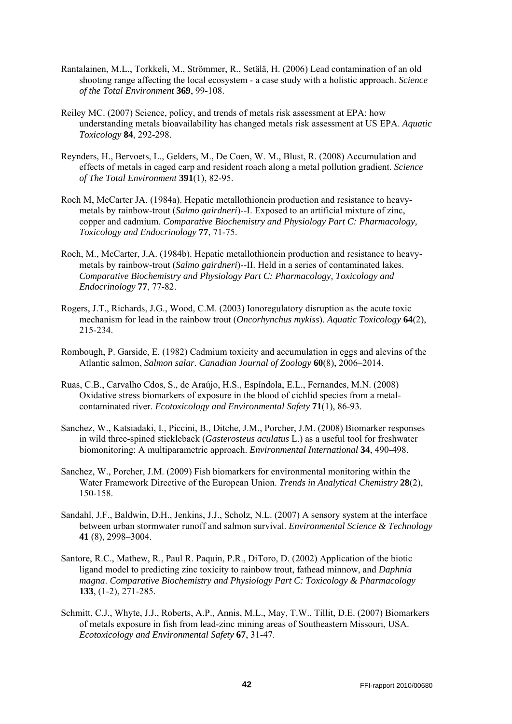- Rantalainen, M.L., Torkkeli, M., Strömmer, R., Setälä, H. (2006) Lead contamination of an old shooting range affecting the local ecosystem - a case study with a holistic approach. *Science of the Total Environment* **369**, 99-108.
- Reiley MC. (2007) Science, policy, and trends of metals risk assessment at EPA: how understanding metals bioavailability has changed metals risk assessment at US EPA. *Aquatic Toxicology* **84**, 292-298.
- Reynders, H., Bervoets, L., Gelders, M., De Coen, W. M., Blust, R. (2008) Accumulation and effects of metals in caged carp and resident roach along a metal pollution gradient. *Science of The Total Environment* **391**(1), 82-95.
- Roch M, McCarter JA. (1984a). Hepatic metallothionein production and resistance to heavymetals by rainbow-trout (*Salmo gairdneri*)--I. Exposed to an artificial mixture of zinc, copper and cadmium. *Comparative Biochemistry and Physiology Part C: Pharmacology, Toxicology and Endocrinology* **77**, 71-75.
- Roch, M., McCarter, J.A. (1984b). Hepatic metallothionein production and resistance to heavymetals by rainbow-trout (*Salmo gairdneri*)--II. Held in a series of contaminated lakes. *Comparative Biochemistry and Physiology Part C: Pharmacology, Toxicology and Endocrinology* **77**, 77-82.
- Rogers, J.T., Richards, J.G., Wood, C.M. (2003) Ionoregulatory disruption as the acute toxic mechanism for lead in the rainbow trout (*Oncorhynchus mykiss*). *Aquatic Toxicology* **64**(2), 215-234.
- Rombough, P. Garside, E. (1982) Cadmium toxicity and accumulation in eggs and alevins of the Atlantic salmon, *Salmon salar*. *Canadian Journal of Zoology* **60**(8), 2006–2014.
- Ruas, C.B., Carvalho Cdos, S., de Araújo, H.S., Espíndola, E.L., Fernandes, M.N. (2008) Oxidative stress biomarkers of exposure in the blood of cichlid species from a metalcontaminated river. *Ecotoxicology and Environmental Safety* **71**(1), 86-93.
- Sanchez, W., Katsiadaki, I., Piccini, B., Ditche, J.M., Porcher, J.M. (2008) Biomarker responses in wild three-spined stickleback (*Gasterosteus aculatus* L.) as a useful tool for freshwater biomonitoring: A multiparametric approach. *Environmental International* **34**, 490-498.
- Sanchez, W., Porcher, J.M. (2009) Fish biomarkers for environmental monitoring within the Water Framework Directive of the European Union. *Trends in Analytical Chemistry* **28**(2), 150-158.
- Sandahl, J.F., Baldwin, D.H., Jenkins, J.J., Scholz, N.L. (2007) A sensory system at the interface between urban stormwater runoff and salmon survival. *Environmental Science & Technology* **41** (8), 2998–3004.
- Santore, R.C., Mathew, R., Paul R. Paquin, P.R., DiToro, D. (2002) Application of the biotic ligand model to predicting zinc toxicity to rainbow trout, fathead minnow, and *Daphnia magna*. *Comparative Biochemistry and Physiology Part C: Toxicology & Pharmacology* **133**, (1-2), 271-285.
- Schmitt, C.J., Whyte, J.J., Roberts, A.P., Annis, M.L., May, T.W., Tillit, D.E. (2007) Biomarkers of metals exposure in fish from lead-zinc mining areas of Southeastern Missouri, USA. *Ecotoxicology and Environmental Safety* **67**, 31-47.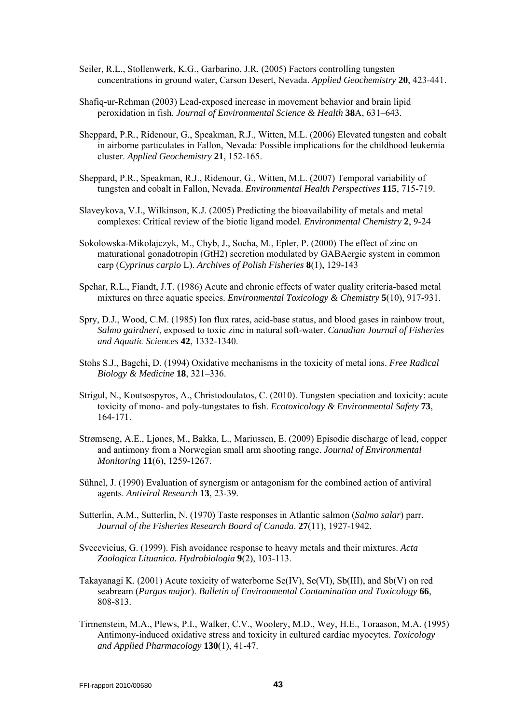- Seiler, R.L., Stollenwerk, K.G., Garbarino, J.R. (2005) Factors controlling tungsten concentrations in ground water, Carson Desert, Nevada. *Applied Geochemistry* **20**, 423-441.
- Shafiq-ur-Rehman (2003) Lead-exposed increase in movement behavior and brain lipid peroxidation in fish. *Journal of Environmental Science & Health* **38**A, 631–643.
- Sheppard, P.R., Ridenour, G., Speakman, R.J., Witten, M.L. (2006) Elevated tungsten and cobalt in airborne particulates in Fallon, Nevada: Possible implications for the childhood leukemia cluster. *Applied Geochemistry* **21**, 152-165.
- Sheppard, P.R., Speakman, R.J., Ridenour, G., Witten, M.L. (2007) Temporal variability of tungsten and cobalt in Fallon, Nevada. *Environmental Health Perspectives* **115**, 715-719.
- Slaveykova, V.I., Wilkinson, K.J. (2005) Predicting the bioavailability of metals and metal complexes: Critical review of the biotic ligand model. *Environmental Chemistry* **2**, 9-24
- Sokolowska-Mikolajczyk, M., Chyb, J., Socha, M., Epler, P. (2000) The effect of zinc on maturational gonadotropin (GtH2) secretion modulated by GABAergic system in common carp (*Cyprinus carpio* L). *Archives of Polish Fisheries* **8**(1), 129-143
- Spehar, R.L., Fiandt, J.T. (1986) Acute and chronic effects of water quality criteria-based metal mixtures on three aquatic species. *Environmental Toxicology & Chemistry* **5**(10), 917-931.
- Spry, D.J., Wood, C.M. (1985) Ion flux rates, acid-base status, and blood gases in rainbow trout, *Salmo gairdneri*, exposed to toxic zinc in natural soft-water. *Canadian Journal of Fisheries and Aquatic Sciences* **42**, 1332-1340.
- Stohs S.J., Bagchi, D. (1994) Oxidative mechanisms in the toxicity of metal ions. *Free Radical Biology & Medicine* **18**, 321–336.
- Strigul, N., Koutsospyros, A., Christodoulatos, C. (2010). Tungsten speciation and toxicity: acute toxicity of mono- and poly-tungstates to fish. *Ecotoxicology & Environmental Safety* **73**, 164-171.
- Strømseng, A.E., Ljønes, M., Bakka, L., Mariussen, E. (2009) Episodic discharge of lead, copper and antimony from a Norwegian small arm shooting range. *Journal of Environmental Monitoring* **11**(6), 1259-1267.
- Sühnel, J. (1990) Evaluation of synergism or antagonism for the combined action of antiviral agents. *Antiviral Research* **13**, 23-39.
- Sutterlin, A.M., Sutterlin, N. (1970) Taste responses in Atlantic salmon (*Salmo salar*) parr. *Journal of the Fisheries Research Board of Canada*. **27**(11), 1927-1942.
- Svecevicius, G. (1999). Fish avoidance response to heavy metals and their mixtures. *Acta Zoologica Lituanica. Hydrobiologia* **9**(2), 103-113.
- Takayanagi K. (2001) Acute toxicity of waterborne Se(IV), Se(VI), Sb(III), and Sb(V) on red seabream (*Pargus major*). *Bulletin of Environmental Contamination and Toxicology* **66**, 808-813.
- Tirmenstein, M.A., Plews, P.I., Walker, C.V., Woolery, M.D., Wey, H.E., Toraason, M.A. (1995) Antimony-induced oxidative stress and toxicity in cultured cardiac myocytes. *Toxicology and Applied Pharmacology* **130**(1), 41-47.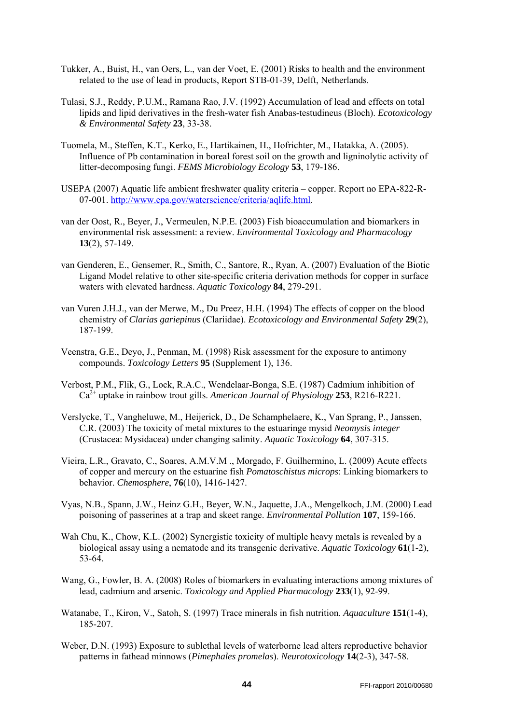- Tukker, A., Buist, H., van Oers, L., van der Voet, E. (2001) Risks to health and the environment related to the use of lead in products, Report STB-01-39, Delft, Netherlands.
- Tulasi, S.J., Reddy, P.U.M., Ramana Rao, J.V. (1992) Accumulation of lead and effects on total lipids and lipid derivatives in the fresh-water fish Anabas-testudineus (Bloch). *Ecotoxicology & Environmental Safety* **23**, 33-38.
- Tuomela, M., Steffen, K.T., Kerko, E., Hartikainen, H., Hofrichter, M., Hatakka, A. (2005). Influence of Pb contamination in boreal forest soil on the growth and ligninolytic activity of litter-decomposing fungi. *FEMS Microbiology Ecology* **53**, 179-186.
- USEPA (2007) Aquatic life ambient freshwater quality criteria copper. Report no EPA-822-R-07-001. <http://www.epa.gov/waterscience/criteria/aqlife.html>.
- van der Oost, R., Beyer, J., Vermeulen, N.P.E. (2003) Fish bioaccumulation and biomarkers in environmental risk assessment: a review. *Environmental Toxicology and Pharmacology* **13**(2), 57-149.
- van Genderen, E., Gensemer, R., Smith, C., Santore, R., Ryan, A. (2007) Evaluation of the Biotic Ligand Model relative to other site-specific criteria derivation methods for copper in surface waters with elevated hardness. *Aquatic Toxicology* **84**, 279-291.
- van Vuren J.H.J., van der Merwe, M., Du Preez, H.H. (1994) The effects of copper on the blood chemistry of *Clarias gariepinus* (Clariidae). *Ecotoxicology and Environmental Safety* **29**(2), 187-199.
- Veenstra, G.E., Deyo, J., Penman, M. (1998) Risk assessment for the exposure to antimony compounds. *Toxicology Letters* **95** (Supplement 1), 136.
- Verbost, P.M., Flik, G., Lock, R.A.C., Wendelaar-Bonga, S.E. (1987) Cadmium inhibition of Ca2+ uptake in rainbow trout gills. *American Journal of Physiology* **253**, R216-R221.
- Verslycke, T., Vangheluwe, M., Heijerick, D., De Schamphelaere, K., Van Sprang, P., Janssen, C.R. (2003) The toxicity of metal mixtures to the estuaringe mysid *Neomysis integer* (Crustacea: Mysidacea) under changing salinity. *Aquatic Toxicology* **64**, 307-315.
- Vieira, L.R., Gravato, C., Soares, A.M.V.M ., Morgado, F. Guilhermino, L. (2009) Acute effects of copper and mercury on the estuarine fish *Pomatoschistus microps*: Linking biomarkers to behavior. *Chemosphere*, **76**(10), 1416-1427.
- Vyas, N.B., Spann, J.W., Heinz G.H., Beyer, W.N., Jaquette, J.A., Mengelkoch, J.M. (2000) Lead poisoning of passerines at a trap and skeet range. *Environmental Pollution* **107**, 159-166.
- Wah Chu, K., Chow, K.L. (2002) Synergistic toxicity of multiple heavy metals is revealed by a biological assay using a nematode and its transgenic derivative. *Aquatic Toxicology* **61**(1-2), 53-64.
- Wang, G., Fowler, B. A. (2008) Roles of biomarkers in evaluating interactions among mixtures of lead, cadmium and arsenic. *Toxicology and Applied Pharmacology* **233**(1), 92-99.
- Watanabe, T., Kiron, V., Satoh, S. (1997) Trace minerals in fish nutrition. *Aquaculture* **151**(1-4), 185-207.
- Weber, D.N. (1993) Exposure to sublethal levels of waterborne lead alters reproductive behavior patterns in fathead minnows (*Pimephales promelas*). *Neurotoxicology* **14**(2-3), 347-58.